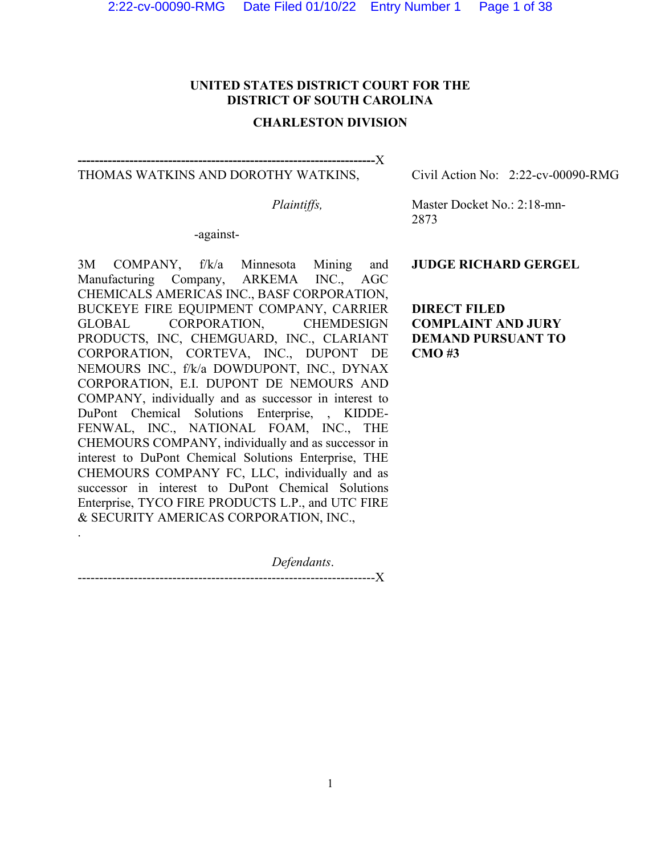## **UNITED STATES DISTRICT COURT FOR THE DISTRICT OF SOUTH CAROLINA**

## **CHARLESTON DIVISION**

**---------------------------------------------------------------------**X THOMAS WATKINS AND DOROTHY WATKINS,

Civil Action No: 2:22-cv-00090-RMG

*Plaintiffs,* 

Master Docket No.: 2:18-mn-2873

-against-

3M COMPANY, f/k/a Minnesota Mining and Manufacturing Company, ARKEMA INC., AGC CHEMICALS AMERICAS INC., BASF CORPORATION, BUCKEYE FIRE EQUIPMENT COMPANY, CARRIER GLOBAL CORPORATION, CHEMDESIGN PRODUCTS, INC, CHEMGUARD, INC., CLARIANT CORPORATION, CORTEVA, INC., DUPONT DE NEMOURS INC., f/k/a DOWDUPONT, INC., DYNAX CORPORATION, E.I. DUPONT DE NEMOURS AND COMPANY, individually and as successor in interest to DuPont Chemical Solutions Enterprise, , KIDDE-FENWAL, INC., NATIONAL FOAM, INC., THE CHEMOURS COMPANY, individually and as successor in interest to DuPont Chemical Solutions Enterprise, THE CHEMOURS COMPANY FC, LLC, individually and as successor in interest to DuPont Chemical Solutions Enterprise, TYCO FIRE PRODUCTS L.P., and UTC FIRE & SECURITY AMERICAS CORPORATION, INC.,

*Defendants*. ---------------------------------------------------------------------X

.

### **JUDGE RICHARD GERGEL**

**DIRECT FILED COMPLAINT AND JURY DEMAND PURSUANT TO CMO #3**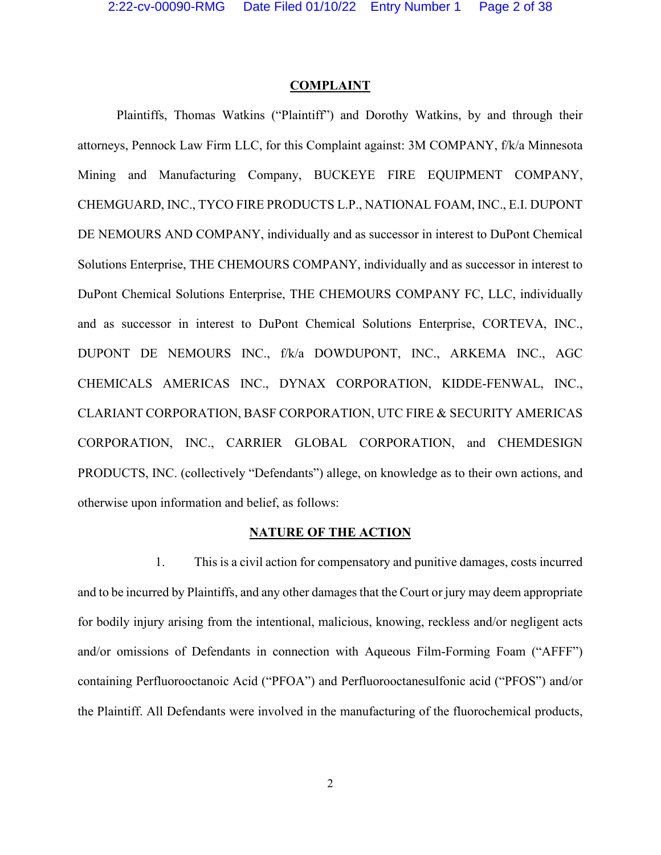#### **COMPLAINT**

Plaintiffs, Thomas Watkins ("Plaintiff") and Dorothy Watkins, by and through their attorneys, Pennock Law Firm LLC, for this Complaint against: 3M COMPANY, f/k/a Minnesota Mining and Manufacturing Company, BUCKEYE FIRE EQUIPMENT COMPANY, CHEMGUARD, INC., TYCO FIRE PRODUCTS L.P., NATIONAL FOAM, INC., E.I. DUPONT DE NEMOURS AND COMPANY, individually and as successor in interest to DuPont Chemical Solutions Enterprise, THE CHEMOURS COMPANY, individually and as successor in interest to DuPont Chemical Solutions Enterprise, THE CHEMOURS COMPANY FC, LLC, individually and as successor in interest to DuPont Chemical Solutions Enterprise, CORTEVA, INC., DUPONT DE NEMOURS INC., f/k/a DOWDUPONT, INC., ARKEMA INC., AGC CHEMICALS AMERICAS INC., DYNAX CORPORATION, KIDDE-FENWAL, INC., CLARIANT CORPORATION, BASF CORPORATION, UTC FIRE & SECURITY AMERICAS CORPORATION, INC., CARRIER GLOBAL CORPORATION, and CHEMDESIGN PRODUCTS, INC. (collectively "Defendants") allege, on knowledge as to their own actions, and otherwise upon information and belief, as follows:

#### **NATURE OF THE ACTION**

1. This is a civil action for compensatory and punitive damages, costs incurred and to be incurred by Plaintiffs, and any other damages that the Court or jury may deem appropriate for bodily injury arising from the intentional, malicious, knowing, reckless and/or negligent acts and/or omissions of Defendants in connection with Aqueous Film-Forming Foam ("AFFF") containing Perfluorooctanoic Acid ("PFOA") and Perfluorooctanesulfonic acid ("PFOS") and/or the Plaintiff. All Defendants were involved in the manufacturing of the fluorochemical products,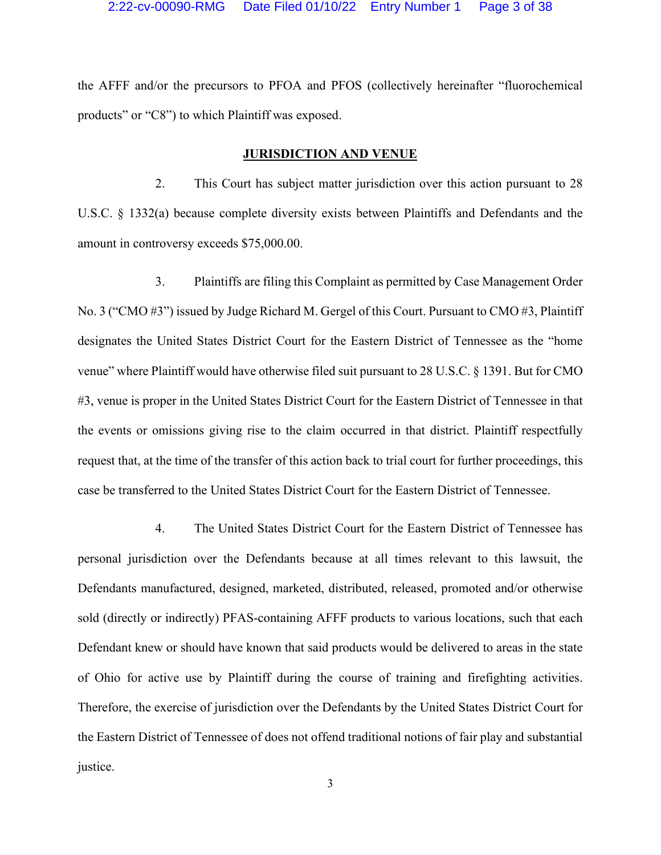the AFFF and/or the precursors to PFOA and PFOS (collectively hereinafter "fluorochemical products" or "C8") to which Plaintiff was exposed.

## **JURISDICTION AND VENUE**

2. This Court has subject matter jurisdiction over this action pursuant to 28 U.S.C. § 1332(a) because complete diversity exists between Plaintiffs and Defendants and the amount in controversy exceeds \$75,000.00.

3. Plaintiffs are filing this Complaint as permitted by Case Management Order No. 3 ("CMO #3") issued by Judge Richard M. Gergel of this Court. Pursuant to CMO #3, Plaintiff designates the United States District Court for the Eastern District of Tennessee as the "home venue" where Plaintiff would have otherwise filed suit pursuant to 28 U.S.C. § 1391. But for CMO #3, venue is proper in the United States District Court for the Eastern District of Tennessee in that the events or omissions giving rise to the claim occurred in that district. Plaintiff respectfully request that, at the time of the transfer of this action back to trial court for further proceedings, this case be transferred to the United States District Court for the Eastern District of Tennessee.

4. The United States District Court for the Eastern District of Tennessee has personal jurisdiction over the Defendants because at all times relevant to this lawsuit, the Defendants manufactured, designed, marketed, distributed, released, promoted and/or otherwise sold (directly or indirectly) PFAS-containing AFFF products to various locations, such that each Defendant knew or should have known that said products would be delivered to areas in the state of Ohio for active use by Plaintiff during the course of training and firefighting activities. Therefore, the exercise of jurisdiction over the Defendants by the United States District Court for the Eastern District of Tennessee of does not offend traditional notions of fair play and substantial justice.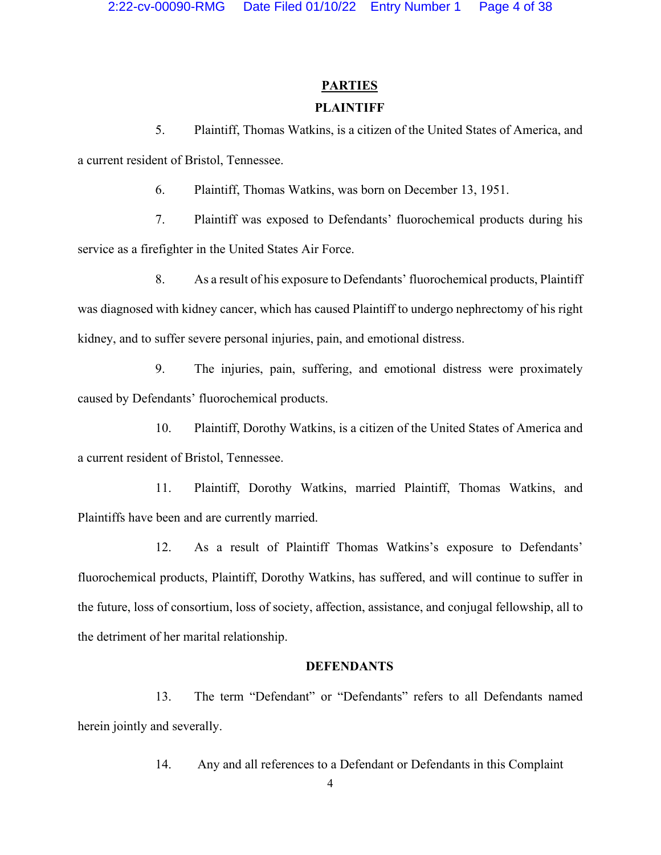## **PARTIES**

## **PLAINTIFF**

5. Plaintiff, Thomas Watkins, is a citizen of the United States of America, and a current resident of Bristol, Tennessee.

6. Plaintiff, Thomas Watkins, was born on December 13, 1951.

7. Plaintiff was exposed to Defendants' fluorochemical products during his service as a firefighter in the United States Air Force.

8. As a result of his exposure to Defendants' fluorochemical products, Plaintiff was diagnosed with kidney cancer, which has caused Plaintiff to undergo nephrectomy of his right kidney, and to suffer severe personal injuries, pain, and emotional distress.

9. The injuries, pain, suffering, and emotional distress were proximately caused by Defendants' fluorochemical products.

10. Plaintiff, Dorothy Watkins, is a citizen of the United States of America and a current resident of Bristol, Tennessee.

11. Plaintiff, Dorothy Watkins, married Plaintiff, Thomas Watkins, and Plaintiffs have been and are currently married.

12. As a result of Plaintiff Thomas Watkins's exposure to Defendants' fluorochemical products, Plaintiff, Dorothy Watkins, has suffered, and will continue to suffer in the future, loss of consortium, loss of society, affection, assistance, and conjugal fellowship, all to the detriment of her marital relationship.

## **DEFENDANTS**

13. The term "Defendant" or "Defendants" refers to all Defendants named herein jointly and severally.

14. Any and all references to a Defendant or Defendants in this Complaint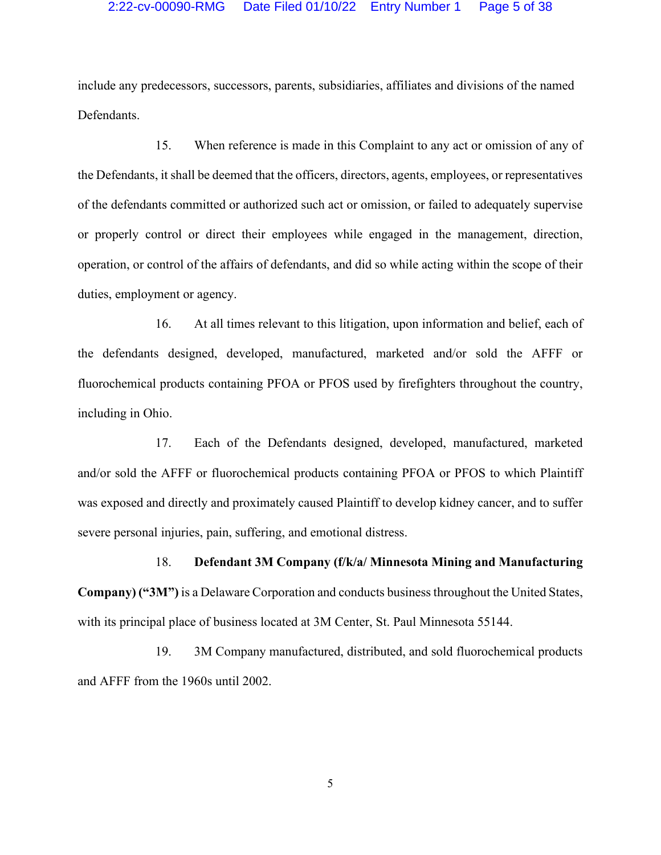include any predecessors, successors, parents, subsidiaries, affiliates and divisions of the named Defendants.

15. When reference is made in this Complaint to any act or omission of any of the Defendants, it shall be deemed that the officers, directors, agents, employees, or representatives of the defendants committed or authorized such act or omission, or failed to adequately supervise or properly control or direct their employees while engaged in the management, direction, operation, or control of the affairs of defendants, and did so while acting within the scope of their duties, employment or agency.

16. At all times relevant to this litigation, upon information and belief, each of the defendants designed, developed, manufactured, marketed and/or sold the AFFF or fluorochemical products containing PFOA or PFOS used by firefighters throughout the country, including in Ohio.

17. Each of the Defendants designed, developed, manufactured, marketed and/or sold the AFFF or fluorochemical products containing PFOA or PFOS to which Plaintiff was exposed and directly and proximately caused Plaintiff to develop kidney cancer, and to suffer severe personal injuries, pain, suffering, and emotional distress.

18. **Defendant 3M Company (f/k/a/ Minnesota Mining and Manufacturing Company) ("3M")** is a Delaware Corporation and conducts business throughout the United States, with its principal place of business located at 3M Center, St. Paul Minnesota 55144.

19. 3M Company manufactured, distributed, and sold fluorochemical products and AFFF from the 1960s until 2002.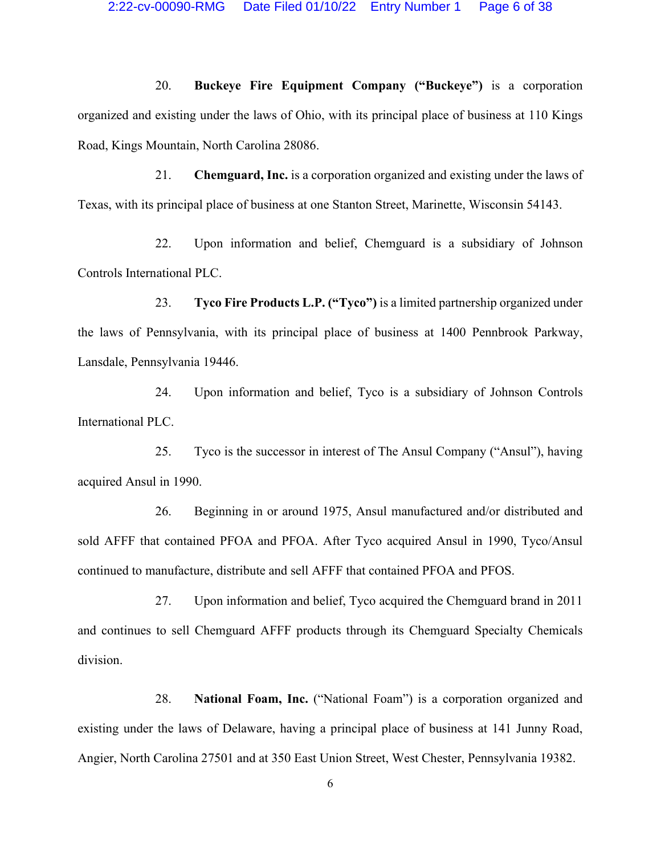20. **Buckeye Fire Equipment Company ("Buckeye")** is a corporation organized and existing under the laws of Ohio, with its principal place of business at 110 Kings Road, Kings Mountain, North Carolina 28086.

21. **Chemguard, Inc.** is a corporation organized and existing under the laws of Texas, with its principal place of business at one Stanton Street, Marinette, Wisconsin 54143.

22. Upon information and belief, Chemguard is a subsidiary of Johnson Controls International PLC.

23. **Tyco Fire Products L.P. ("Tyco")** is a limited partnership organized under the laws of Pennsylvania, with its principal place of business at 1400 Pennbrook Parkway, Lansdale, Pennsylvania 19446.

24. Upon information and belief, Tyco is a subsidiary of Johnson Controls International PLC.

25. Tyco is the successor in interest of The Ansul Company ("Ansul"), having acquired Ansul in 1990.

26. Beginning in or around 1975, Ansul manufactured and/or distributed and sold AFFF that contained PFOA and PFOA. After Tyco acquired Ansul in 1990, Tyco/Ansul continued to manufacture, distribute and sell AFFF that contained PFOA and PFOS.

27. Upon information and belief, Tyco acquired the Chemguard brand in 2011 and continues to sell Chemguard AFFF products through its Chemguard Specialty Chemicals division.

28. **National Foam, Inc.** ("National Foam") is a corporation organized and existing under the laws of Delaware, having a principal place of business at 141 Junny Road, Angier, North Carolina 27501 and at 350 East Union Street, West Chester, Pennsylvania 19382.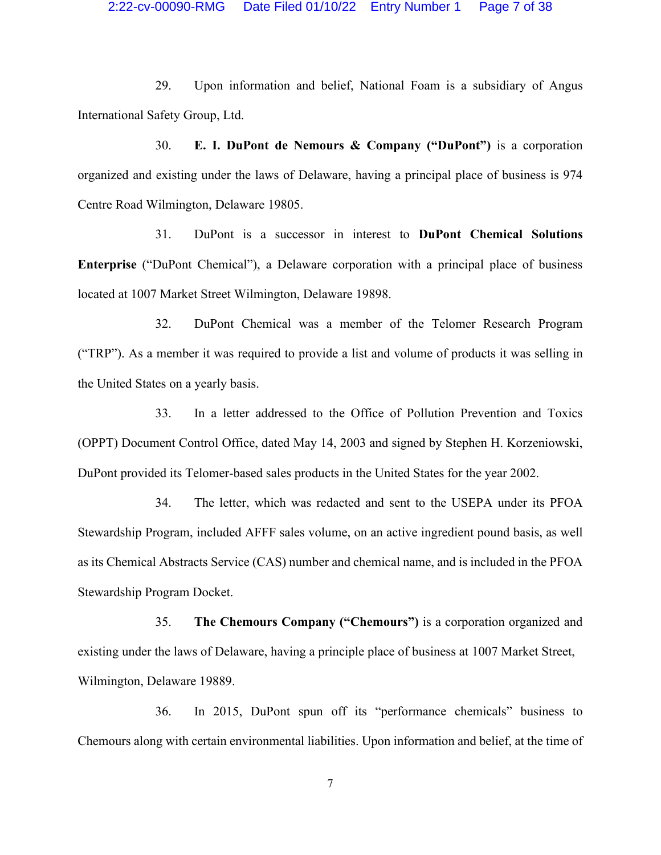29. Upon information and belief, National Foam is a subsidiary of Angus International Safety Group, Ltd.

30. **E. I. DuPont de Nemours & Company ("DuPont")** is a corporation organized and existing under the laws of Delaware, having a principal place of business is 974 Centre Road Wilmington, Delaware 19805.

31. DuPont is a successor in interest to **DuPont Chemical Solutions Enterprise** ("DuPont Chemical"), a Delaware corporation with a principal place of business located at 1007 Market Street Wilmington, Delaware 19898.

32. DuPont Chemical was a member of the Telomer Research Program ("TRP"). As a member it was required to provide a list and volume of products it was selling in the United States on a yearly basis.

33. In a letter addressed to the Office of Pollution Prevention and Toxics (OPPT) Document Control Office, dated May 14, 2003 and signed by Stephen H. Korzeniowski, DuPont provided its Telomer-based sales products in the United States for the year 2002.

34. The letter, which was redacted and sent to the USEPA under its PFOA Stewardship Program, included AFFF sales volume, on an active ingredient pound basis, as well as its Chemical Abstracts Service (CAS) number and chemical name, and is included in the PFOA Stewardship Program Docket.

35. **The Chemours Company ("Chemours")** is a corporation organized and existing under the laws of Delaware, having a principle place of business at 1007 Market Street, Wilmington, Delaware 19889.

36. In 2015, DuPont spun off its "performance chemicals" business to Chemours along with certain environmental liabilities. Upon information and belief, at the time of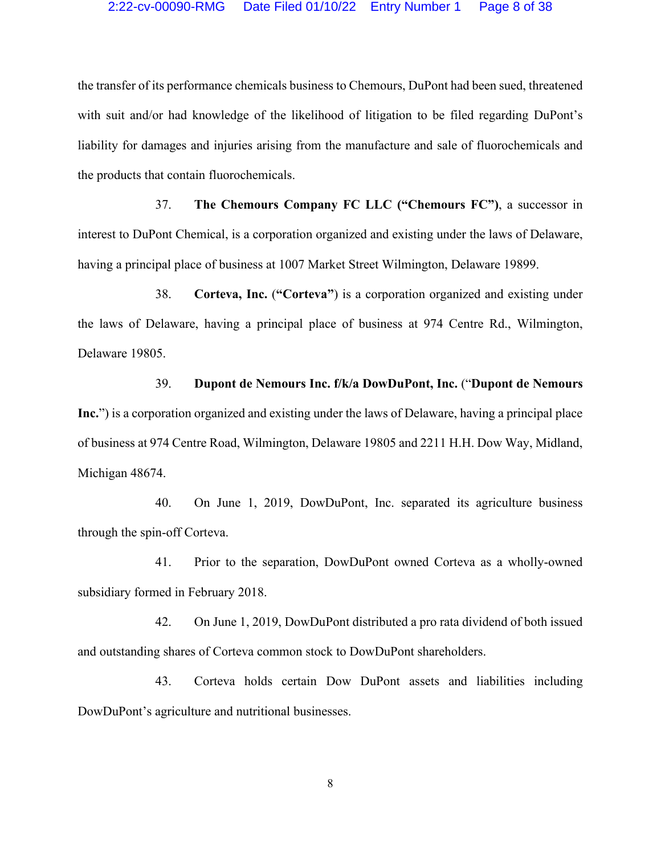## 2:22-cv-00090-RMG Date Filed 01/10/22 Entry Number 1 Page 8 of 38

the transfer of its performance chemicals business to Chemours, DuPont had been sued, threatened with suit and/or had knowledge of the likelihood of litigation to be filed regarding DuPont's liability for damages and injuries arising from the manufacture and sale of fluorochemicals and the products that contain fluorochemicals.

37. **The Chemours Company FC LLC ("Chemours FC")**, a successor in interest to DuPont Chemical, is a corporation organized and existing under the laws of Delaware, having a principal place of business at 1007 Market Street Wilmington, Delaware 19899.

38. **Corteva, Inc.** (**"Corteva"**) is a corporation organized and existing under the laws of Delaware, having a principal place of business at 974 Centre Rd., Wilmington, Delaware 19805.

39. **Dupont de Nemours Inc. f/k/a DowDuPont, Inc.** ("**Dupont de Nemours** 

**Inc.**") is a corporation organized and existing under the laws of Delaware, having a principal place of business at 974 Centre Road, Wilmington, Delaware 19805 and 2211 H.H. Dow Way, Midland, Michigan 48674.

40. On June 1, 2019, DowDuPont, Inc. separated its agriculture business through the spin-off Corteva.

41. Prior to the separation, DowDuPont owned Corteva as a wholly-owned subsidiary formed in February 2018.

42. On June 1, 2019, DowDuPont distributed a pro rata dividend of both issued and outstanding shares of Corteva common stock to DowDuPont shareholders.

43. Corteva holds certain Dow DuPont assets and liabilities including DowDuPont's agriculture and nutritional businesses.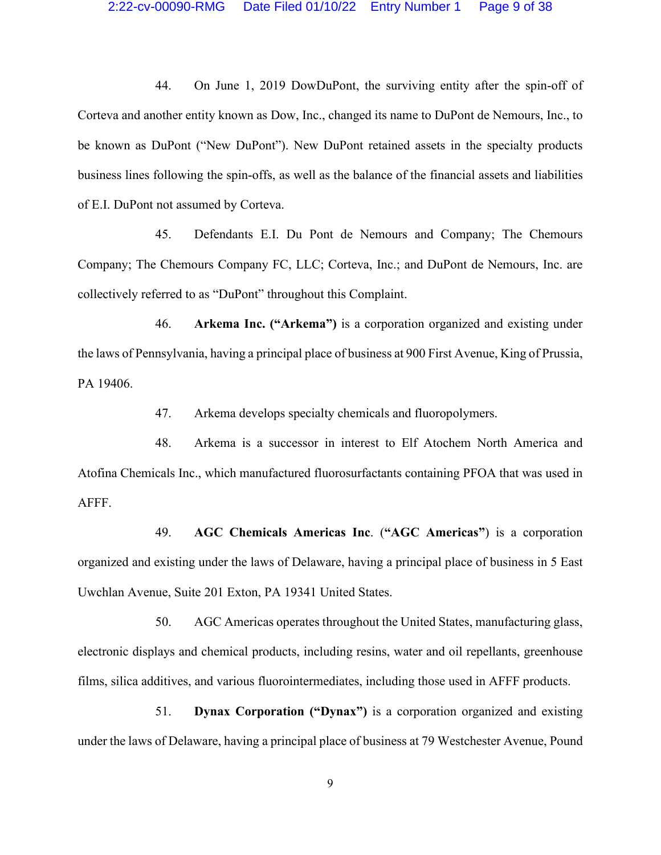#### 2:22-cv-00090-RMG Date Filed 01/10/22 Entry Number 1 Page 9 of 38

44. On June 1, 2019 DowDuPont, the surviving entity after the spin-off of Corteva and another entity known as Dow, Inc., changed its name to DuPont de Nemours, Inc., to be known as DuPont ("New DuPont"). New DuPont retained assets in the specialty products business lines following the spin-offs, as well as the balance of the financial assets and liabilities of E.I. DuPont not assumed by Corteva.

45. Defendants E.I. Du Pont de Nemours and Company; The Chemours Company; The Chemours Company FC, LLC; Corteva, Inc.; and DuPont de Nemours, Inc. are collectively referred to as "DuPont" throughout this Complaint.

46. **Arkema Inc. ("Arkema")** is a corporation organized and existing under the laws of Pennsylvania, having a principal place of business at 900 First Avenue, King of Prussia, PA 19406.

47. Arkema develops specialty chemicals and fluoropolymers.

48. Arkema is a successor in interest to Elf Atochem North America and Atofina Chemicals Inc., which manufactured fluorosurfactants containing PFOA that was used in AFFF.

49. **AGC Chemicals Americas Inc**. (**"AGC Americas"**) is a corporation organized and existing under the laws of Delaware, having a principal place of business in 5 East Uwchlan Avenue, Suite 201 Exton, PA 19341 United States.

50. AGC Americas operates throughout the United States, manufacturing glass, electronic displays and chemical products, including resins, water and oil repellants, greenhouse films, silica additives, and various fluorointermediates, including those used in AFFF products.

51. **Dynax Corporation ("Dynax")** is a corporation organized and existing under the laws of Delaware, having a principal place of business at 79 Westchester Avenue, Pound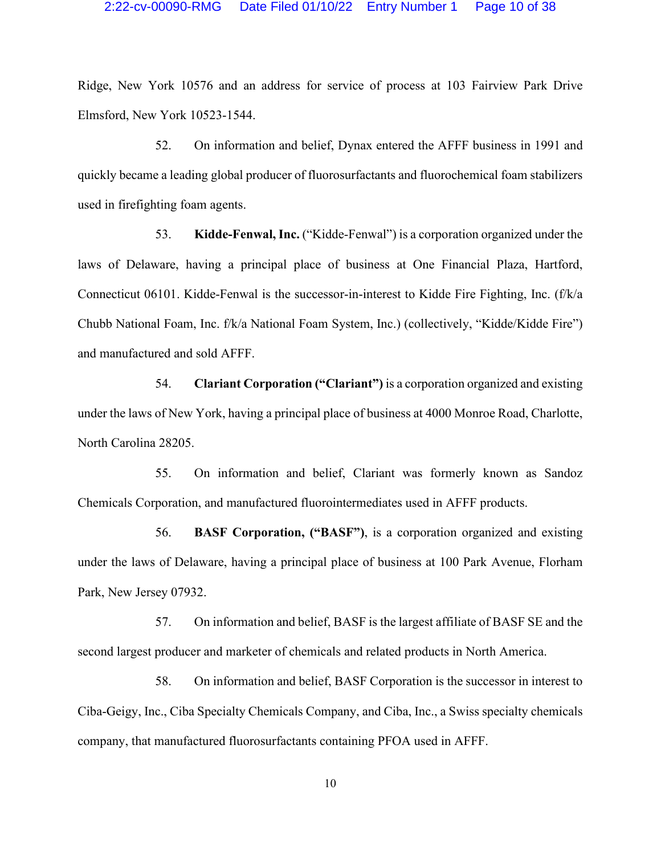## 2:22-cv-00090-RMG Date Filed 01/10/22 Entry Number 1 Page 10 of 38

Ridge, New York 10576 and an address for service of process at 103 Fairview Park Drive Elmsford, New York 10523-1544.

52. On information and belief, Dynax entered the AFFF business in 1991 and quickly became a leading global producer of fluorosurfactants and fluorochemical foam stabilizers used in firefighting foam agents.

53. **Kidde-Fenwal, Inc.** ("Kidde-Fenwal") is a corporation organized under the laws of Delaware, having a principal place of business at One Financial Plaza, Hartford, Connecticut 06101. Kidde-Fenwal is the successor-in-interest to Kidde Fire Fighting, Inc. (f/k/a Chubb National Foam, Inc. f/k/a National Foam System, Inc.) (collectively, "Kidde/Kidde Fire") and manufactured and sold AFFF.

54. **Clariant Corporation ("Clariant")** is a corporation organized and existing under the laws of New York, having a principal place of business at 4000 Monroe Road, Charlotte, North Carolina 28205.

55. On information and belief, Clariant was formerly known as Sandoz Chemicals Corporation, and manufactured fluorointermediates used in AFFF products.

56. **BASF Corporation, ("BASF")**, is a corporation organized and existing under the laws of Delaware, having a principal place of business at 100 Park Avenue, Florham Park, New Jersey 07932.

57. On information and belief, BASF is the largest affiliate of BASF SE and the second largest producer and marketer of chemicals and related products in North America.

58. On information and belief, BASF Corporation is the successor in interest to Ciba-Geigy, Inc., Ciba Specialty Chemicals Company, and Ciba, Inc., a Swiss specialty chemicals company, that manufactured fluorosurfactants containing PFOA used in AFFF.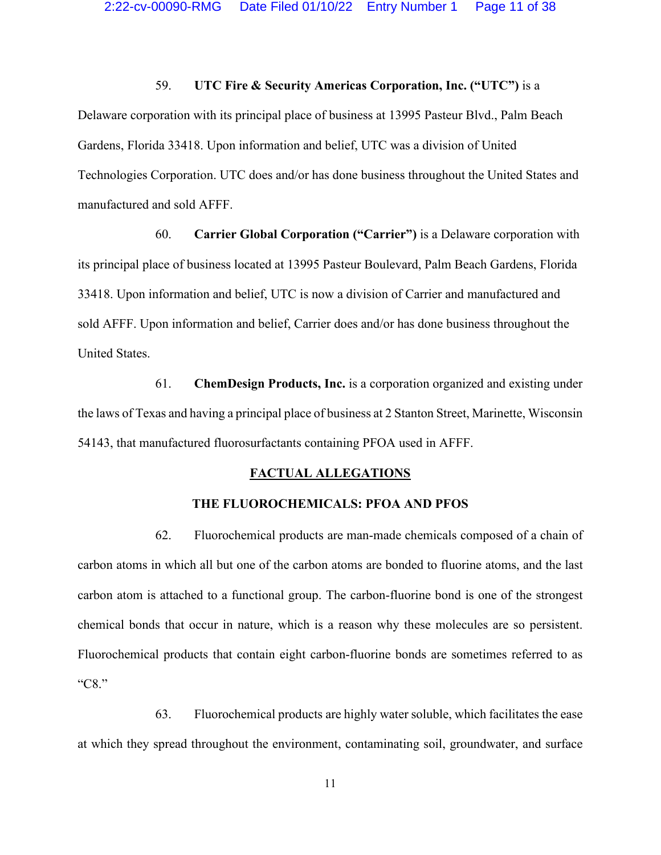## 59. **UTC Fire & Security Americas Corporation, Inc. ("UTC")** is a

Delaware corporation with its principal place of business at 13995 Pasteur Blvd., Palm Beach Gardens, Florida 33418. Upon information and belief, UTC was a division of United Technologies Corporation. UTC does and/or has done business throughout the United States and manufactured and sold AFFF.

60. **Carrier Global Corporation ("Carrier")** is a Delaware corporation with its principal place of business located at 13995 Pasteur Boulevard, Palm Beach Gardens, Florida 33418. Upon information and belief, UTC is now a division of Carrier and manufactured and sold AFFF. Upon information and belief, Carrier does and/or has done business throughout the United States.

61. **ChemDesign Products, Inc.** is a corporation organized and existing under the laws of Texas and having a principal place of business at 2 Stanton Street, Marinette, Wisconsin 54143, that manufactured fluorosurfactants containing PFOA used in AFFF.

### **FACTUAL ALLEGATIONS**

### **THE FLUOROCHEMICALS: PFOA AND PFOS**

62. Fluorochemical products are man-made chemicals composed of a chain of carbon atoms in which all but one of the carbon atoms are bonded to fluorine atoms, and the last carbon atom is attached to a functional group. The carbon-fluorine bond is one of the strongest chemical bonds that occur in nature, which is a reason why these molecules are so persistent. Fluorochemical products that contain eight carbon-fluorine bonds are sometimes referred to as "C8."

63. Fluorochemical products are highly water soluble, which facilitates the ease at which they spread throughout the environment, contaminating soil, groundwater, and surface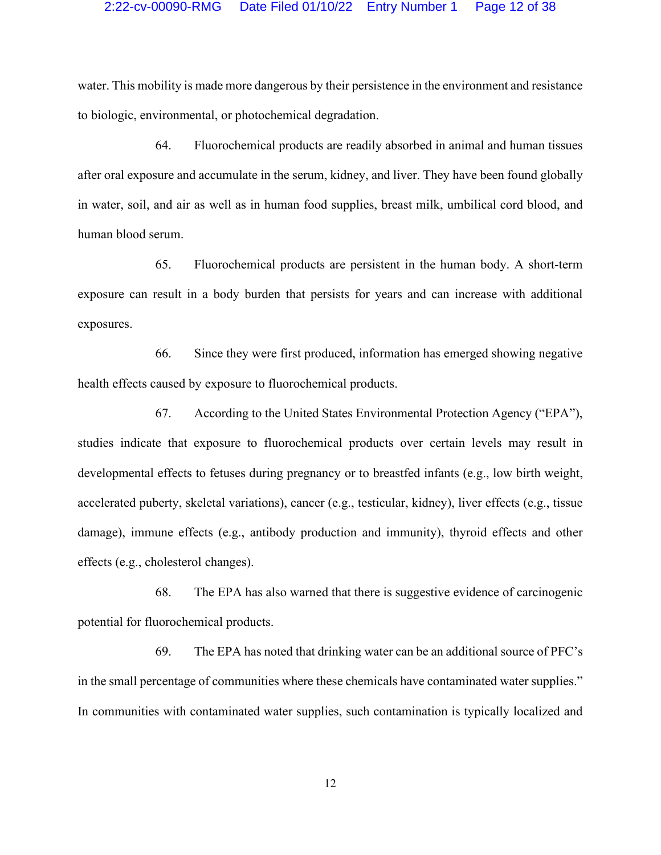water. This mobility is made more dangerous by their persistence in the environment and resistance to biologic, environmental, or photochemical degradation.

64. Fluorochemical products are readily absorbed in animal and human tissues after oral exposure and accumulate in the serum, kidney, and liver. They have been found globally in water, soil, and air as well as in human food supplies, breast milk, umbilical cord blood, and human blood serum.

65. Fluorochemical products are persistent in the human body. A short-term exposure can result in a body burden that persists for years and can increase with additional exposures.

66. Since they were first produced, information has emerged showing negative health effects caused by exposure to fluorochemical products.

67. According to the United States Environmental Protection Agency ("EPA"), studies indicate that exposure to fluorochemical products over certain levels may result in developmental effects to fetuses during pregnancy or to breastfed infants (e.g., low birth weight, accelerated puberty, skeletal variations), cancer (e.g., testicular, kidney), liver effects (e.g., tissue damage), immune effects (e.g., antibody production and immunity), thyroid effects and other effects (e.g., cholesterol changes).

68. The EPA has also warned that there is suggestive evidence of carcinogenic potential for fluorochemical products.

69. The EPA has noted that drinking water can be an additional source of PFC's in the small percentage of communities where these chemicals have contaminated water supplies." In communities with contaminated water supplies, such contamination is typically localized and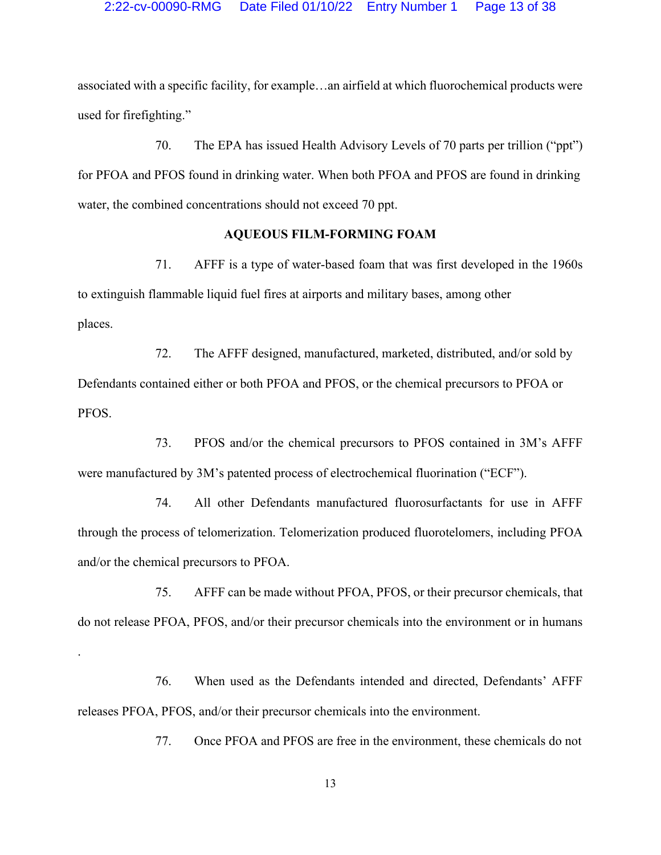associated with a specific facility, for example…an airfield at which fluorochemical products were used for firefighting."

70. The EPA has issued Health Advisory Levels of 70 parts per trillion ("ppt") for PFOA and PFOS found in drinking water. When both PFOA and PFOS are found in drinking water, the combined concentrations should not exceed 70 ppt.

## **AQUEOUS FILM-FORMING FOAM**

71. AFFF is a type of water-based foam that was first developed in the 1960s to extinguish flammable liquid fuel fires at airports and military bases, among other places.

72. The AFFF designed, manufactured, marketed, distributed, and/or sold by Defendants contained either or both PFOA and PFOS, or the chemical precursors to PFOA or PFOS.

73. PFOS and/or the chemical precursors to PFOS contained in 3M's AFFF were manufactured by 3M's patented process of electrochemical fluorination ("ECF").

74. All other Defendants manufactured fluorosurfactants for use in AFFF through the process of telomerization. Telomerization produced fluorotelomers, including PFOA and/or the chemical precursors to PFOA.

75. AFFF can be made without PFOA, PFOS, or their precursor chemicals, that do not release PFOA, PFOS, and/or their precursor chemicals into the environment or in humans

76. When used as the Defendants intended and directed, Defendants' AFFF releases PFOA, PFOS, and/or their precursor chemicals into the environment.

.

77. Once PFOA and PFOS are free in the environment, these chemicals do not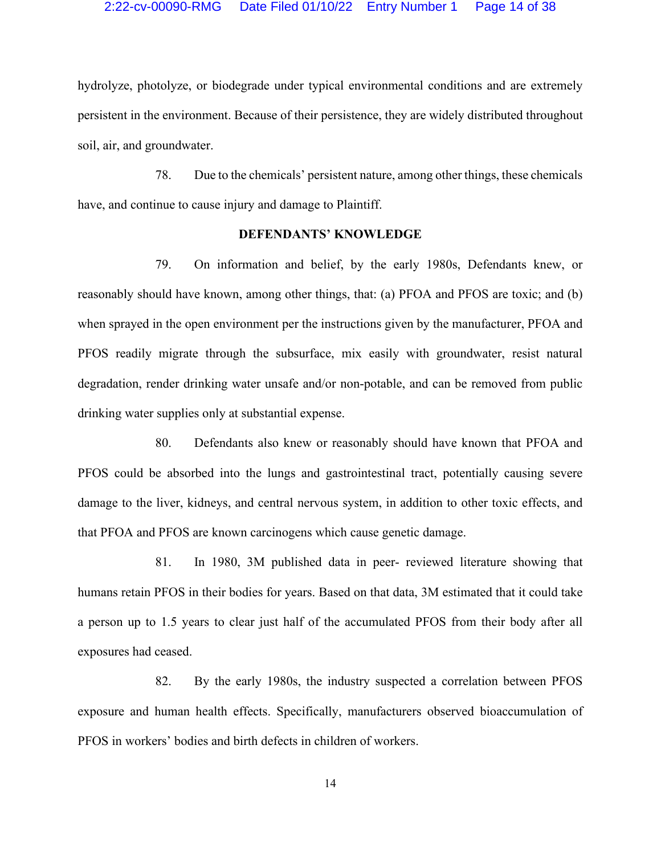hydrolyze, photolyze, or biodegrade under typical environmental conditions and are extremely persistent in the environment. Because of their persistence, they are widely distributed throughout soil, air, and groundwater.

78. Due to the chemicals' persistent nature, among other things, these chemicals have, and continue to cause injury and damage to Plaintiff.

## **DEFENDANTS' KNOWLEDGE**

79. On information and belief, by the early 1980s, Defendants knew, or reasonably should have known, among other things, that: (a) PFOA and PFOS are toxic; and (b) when sprayed in the open environment per the instructions given by the manufacturer, PFOA and PFOS readily migrate through the subsurface, mix easily with groundwater, resist natural degradation, render drinking water unsafe and/or non-potable, and can be removed from public drinking water supplies only at substantial expense.

80. Defendants also knew or reasonably should have known that PFOA and PFOS could be absorbed into the lungs and gastrointestinal tract, potentially causing severe damage to the liver, kidneys, and central nervous system, in addition to other toxic effects, and that PFOA and PFOS are known carcinogens which cause genetic damage.

81. In 1980, 3M published data in peer- reviewed literature showing that humans retain PFOS in their bodies for years. Based on that data, 3M estimated that it could take a person up to 1.5 years to clear just half of the accumulated PFOS from their body after all exposures had ceased.

82. By the early 1980s, the industry suspected a correlation between PFOS exposure and human health effects. Specifically, manufacturers observed bioaccumulation of PFOS in workers' bodies and birth defects in children of workers.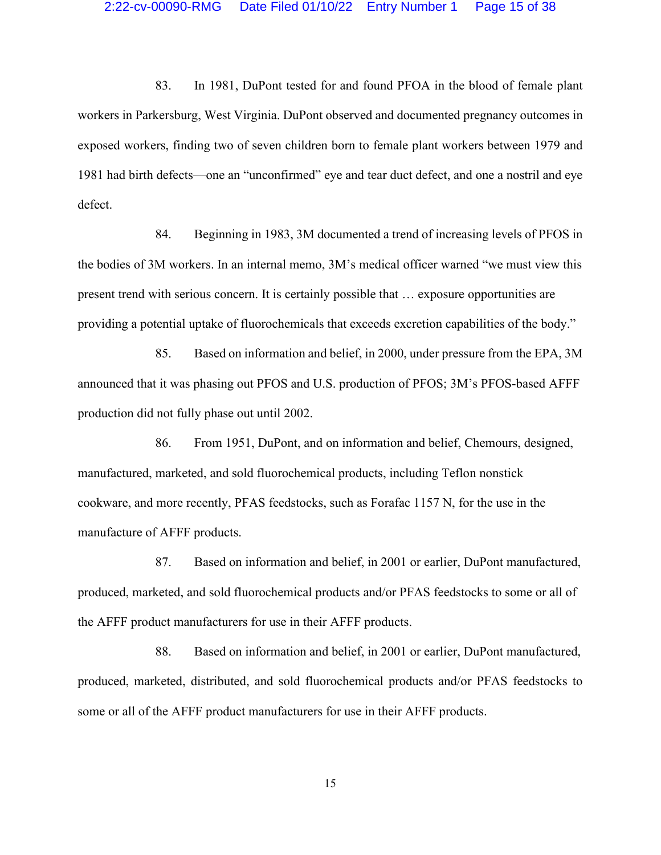83. In 1981, DuPont tested for and found PFOA in the blood of female plant workers in Parkersburg, West Virginia. DuPont observed and documented pregnancy outcomes in exposed workers, finding two of seven children born to female plant workers between 1979 and 1981 had birth defects—one an "unconfirmed" eye and tear duct defect, and one a nostril and eye defect.

84. Beginning in 1983, 3M documented a trend of increasing levels of PFOS in the bodies of 3M workers. In an internal memo, 3M's medical officer warned "we must view this present trend with serious concern. It is certainly possible that … exposure opportunities are providing a potential uptake of fluorochemicals that exceeds excretion capabilities of the body."

85. Based on information and belief, in 2000, under pressure from the EPA, 3M announced that it was phasing out PFOS and U.S. production of PFOS; 3M's PFOS-based AFFF production did not fully phase out until 2002.

86. From 1951, DuPont, and on information and belief, Chemours, designed, manufactured, marketed, and sold fluorochemical products, including Teflon nonstick cookware, and more recently, PFAS feedstocks, such as Forafac 1157 N, for the use in the manufacture of AFFF products.

87. Based on information and belief, in 2001 or earlier, DuPont manufactured, produced, marketed, and sold fluorochemical products and/or PFAS feedstocks to some or all of the AFFF product manufacturers for use in their AFFF products.

88. Based on information and belief, in 2001 or earlier, DuPont manufactured, produced, marketed, distributed, and sold fluorochemical products and/or PFAS feedstocks to some or all of the AFFF product manufacturers for use in their AFFF products.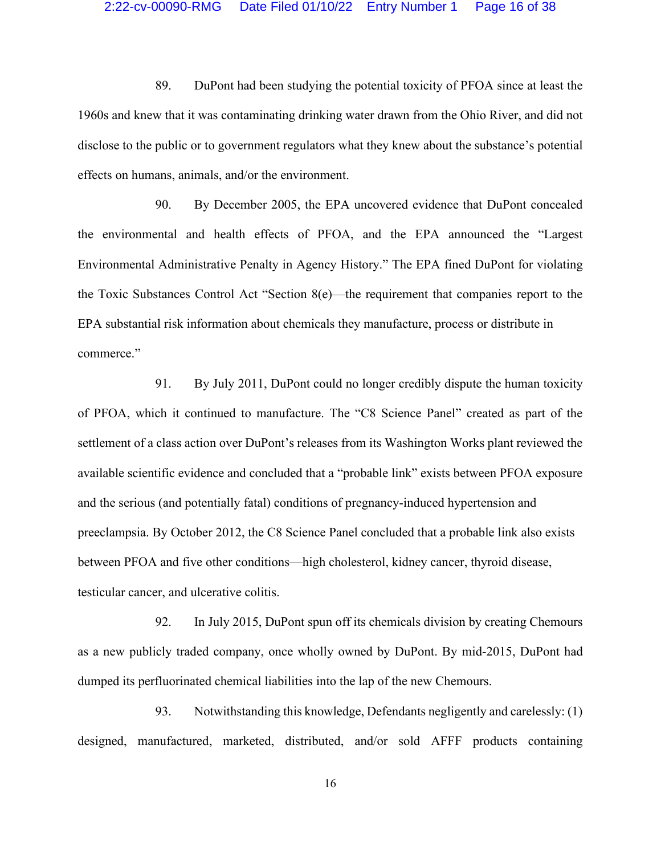89. DuPont had been studying the potential toxicity of PFOA since at least the 1960s and knew that it was contaminating drinking water drawn from the Ohio River, and did not disclose to the public or to government regulators what they knew about the substance's potential effects on humans, animals, and/or the environment.

90. By December 2005, the EPA uncovered evidence that DuPont concealed the environmental and health effects of PFOA, and the EPA announced the "Largest Environmental Administrative Penalty in Agency History." The EPA fined DuPont for violating the Toxic Substances Control Act "Section 8(e)—the requirement that companies report to the EPA substantial risk information about chemicals they manufacture, process or distribute in commerce."

91. By July 2011, DuPont could no longer credibly dispute the human toxicity of PFOA, which it continued to manufacture. The "C8 Science Panel" created as part of the settlement of a class action over DuPont's releases from its Washington Works plant reviewed the available scientific evidence and concluded that a "probable link" exists between PFOA exposure and the serious (and potentially fatal) conditions of pregnancy-induced hypertension and preeclampsia. By October 2012, the C8 Science Panel concluded that a probable link also exists between PFOA and five other conditions—high cholesterol, kidney cancer, thyroid disease, testicular cancer, and ulcerative colitis.

92. In July 2015, DuPont spun off its chemicals division by creating Chemours as a new publicly traded company, once wholly owned by DuPont. By mid-2015, DuPont had dumped its perfluorinated chemical liabilities into the lap of the new Chemours.

93. Notwithstanding this knowledge, Defendants negligently and carelessly: (1) designed, manufactured, marketed, distributed, and/or sold AFFF products containing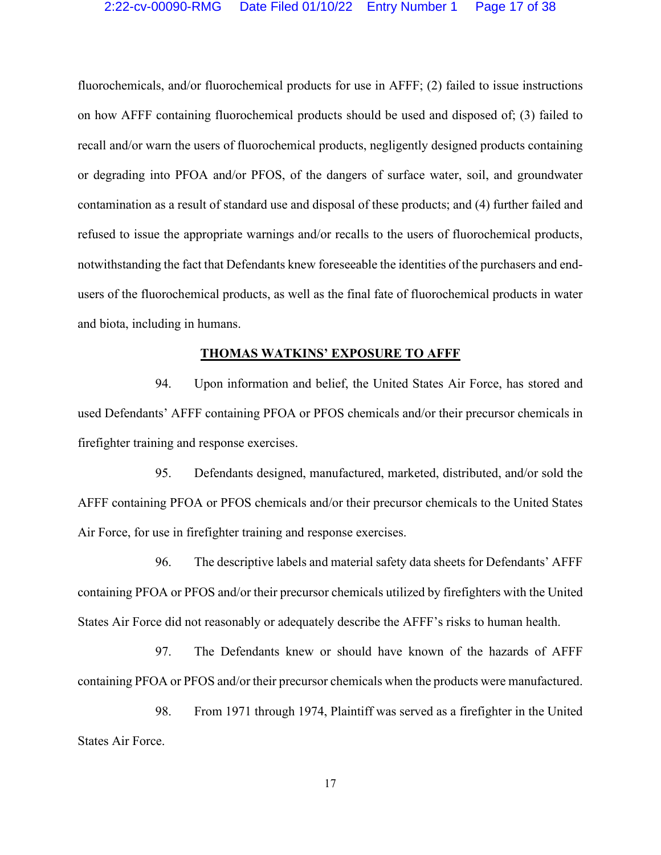### 2:22-cv-00090-RMG Date Filed 01/10/22 Entry Number 1 Page 17 of 38

fluorochemicals, and/or fluorochemical products for use in AFFF; (2) failed to issue instructions on how AFFF containing fluorochemical products should be used and disposed of; (3) failed to recall and/or warn the users of fluorochemical products, negligently designed products containing or degrading into PFOA and/or PFOS, of the dangers of surface water, soil, and groundwater contamination as a result of standard use and disposal of these products; and (4) further failed and refused to issue the appropriate warnings and/or recalls to the users of fluorochemical products, notwithstanding the fact that Defendants knew foreseeable the identities of the purchasers and endusers of the fluorochemical products, as well as the final fate of fluorochemical products in water and biota, including in humans.

#### **THOMAS WATKINS' EXPOSURE TO AFFF**

94. Upon information and belief, the United States Air Force, has stored and used Defendants' AFFF containing PFOA or PFOS chemicals and/or their precursor chemicals in firefighter training and response exercises.

95. Defendants designed, manufactured, marketed, distributed, and/or sold the AFFF containing PFOA or PFOS chemicals and/or their precursor chemicals to the United States Air Force, for use in firefighter training and response exercises.

96. The descriptive labels and material safety data sheets for Defendants' AFFF containing PFOA or PFOS and/or their precursor chemicals utilized by firefighters with the United States Air Force did not reasonably or adequately describe the AFFF's risks to human health.

97. The Defendants knew or should have known of the hazards of AFFF containing PFOA or PFOS and/or their precursor chemicals when the products were manufactured.

98. From 1971 through 1974, Plaintiff was served as a firefighter in the United States Air Force.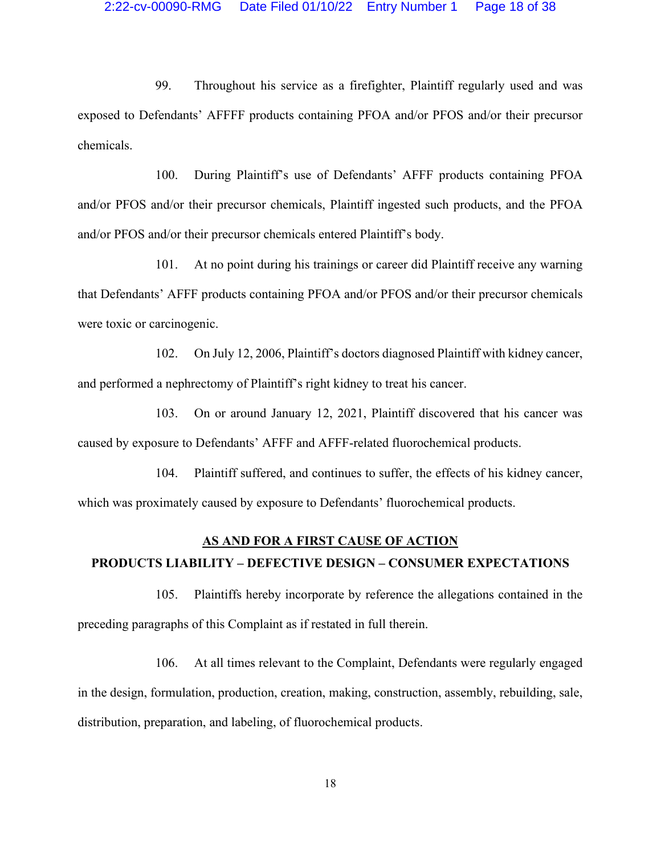99. Throughout his service as a firefighter, Plaintiff regularly used and was exposed to Defendants' AFFFF products containing PFOA and/or PFOS and/or their precursor chemicals.

100. During Plaintiff's use of Defendants' AFFF products containing PFOA and/or PFOS and/or their precursor chemicals, Plaintiff ingested such products, and the PFOA and/or PFOS and/or their precursor chemicals entered Plaintiff's body.

101. At no point during his trainings or career did Plaintiff receive any warning that Defendants' AFFF products containing PFOA and/or PFOS and/or their precursor chemicals were toxic or carcinogenic.

102. On July 12, 2006, Plaintiff's doctors diagnosed Plaintiff with kidney cancer, and performed a nephrectomy of Plaintiff's right kidney to treat his cancer.

103. On or around January 12, 2021, Plaintiff discovered that his cancer was caused by exposure to Defendants' AFFF and AFFF-related fluorochemical products.

104. Plaintiff suffered, and continues to suffer, the effects of his kidney cancer, which was proximately caused by exposure to Defendants' fluorochemical products.

# **AS AND FOR A FIRST CAUSE OF ACTION PRODUCTS LIABILITY – DEFECTIVE DESIGN – CONSUMER EXPECTATIONS**

105. Plaintiffs hereby incorporate by reference the allegations contained in the preceding paragraphs of this Complaint as if restated in full therein.

106. At all times relevant to the Complaint, Defendants were regularly engaged in the design, formulation, production, creation, making, construction, assembly, rebuilding, sale, distribution, preparation, and labeling, of fluorochemical products.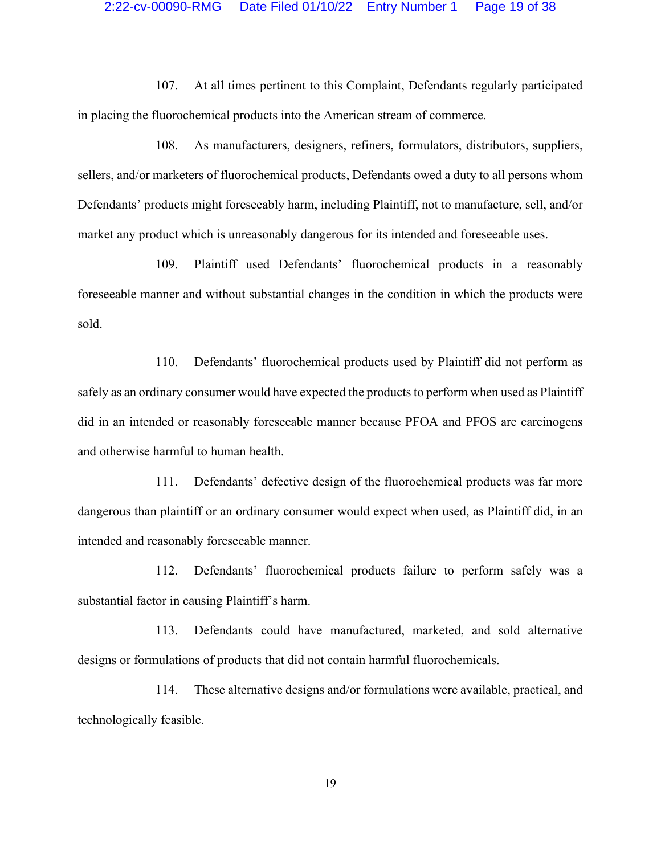### 2:22-cv-00090-RMG Date Filed 01/10/22 Entry Number 1 Page 19 of 38

107. At all times pertinent to this Complaint, Defendants regularly participated in placing the fluorochemical products into the American stream of commerce.

108. As manufacturers, designers, refiners, formulators, distributors, suppliers, sellers, and/or marketers of fluorochemical products, Defendants owed a duty to all persons whom Defendants' products might foreseeably harm, including Plaintiff, not to manufacture, sell, and/or market any product which is unreasonably dangerous for its intended and foreseeable uses.

109. Plaintiff used Defendants' fluorochemical products in a reasonably foreseeable manner and without substantial changes in the condition in which the products were sold.

110. Defendants' fluorochemical products used by Plaintiff did not perform as safely as an ordinary consumer would have expected the products to perform when used as Plaintiff did in an intended or reasonably foreseeable manner because PFOA and PFOS are carcinogens and otherwise harmful to human health.

111. Defendants' defective design of the fluorochemical products was far more dangerous than plaintiff or an ordinary consumer would expect when used, as Plaintiff did, in an intended and reasonably foreseeable manner.

112. Defendants' fluorochemical products failure to perform safely was a substantial factor in causing Plaintiff's harm.

113. Defendants could have manufactured, marketed, and sold alternative designs or formulations of products that did not contain harmful fluorochemicals.

114. These alternative designs and/or formulations were available, practical, and technologically feasible.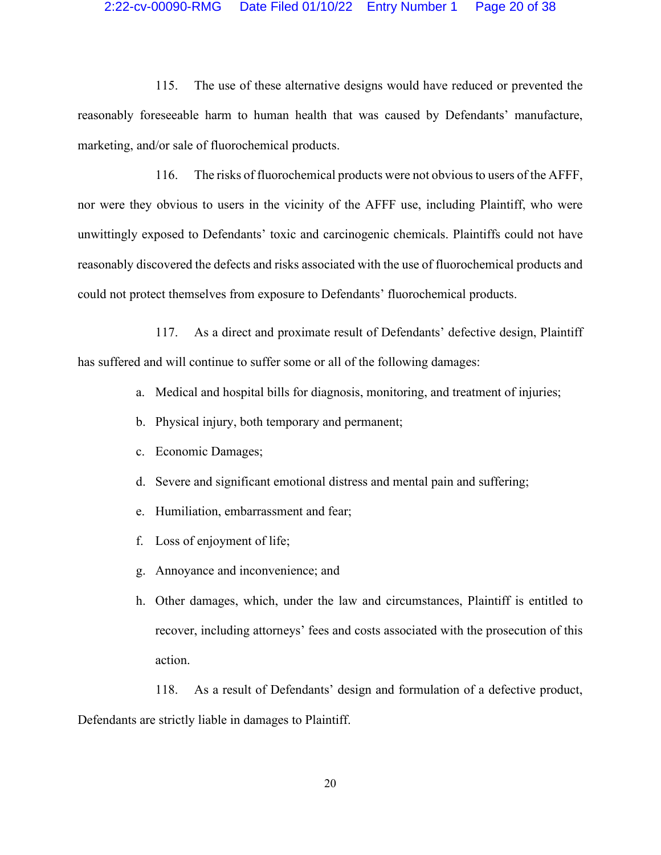### 2:22-cv-00090-RMG Date Filed 01/10/22 Entry Number 1 Page 20 of 38

115. The use of these alternative designs would have reduced or prevented the reasonably foreseeable harm to human health that was caused by Defendants' manufacture, marketing, and/or sale of fluorochemical products.

116. The risks of fluorochemical products were not obvious to users of the AFFF, nor were they obvious to users in the vicinity of the AFFF use, including Plaintiff, who were unwittingly exposed to Defendants' toxic and carcinogenic chemicals. Plaintiffs could not have reasonably discovered the defects and risks associated with the use of fluorochemical products and could not protect themselves from exposure to Defendants' fluorochemical products.

117. As a direct and proximate result of Defendants' defective design, Plaintiff has suffered and will continue to suffer some or all of the following damages:

- a. Medical and hospital bills for diagnosis, monitoring, and treatment of injuries;
- b. Physical injury, both temporary and permanent;
- c. Economic Damages;
- d. Severe and significant emotional distress and mental pain and suffering;
- e. Humiliation, embarrassment and fear;
- f. Loss of enjoyment of life;
- g. Annoyance and inconvenience; and
- h. Other damages, which, under the law and circumstances, Plaintiff is entitled to recover, including attorneys' fees and costs associated with the prosecution of this action.

118. As a result of Defendants' design and formulation of a defective product, Defendants are strictly liable in damages to Plaintiff.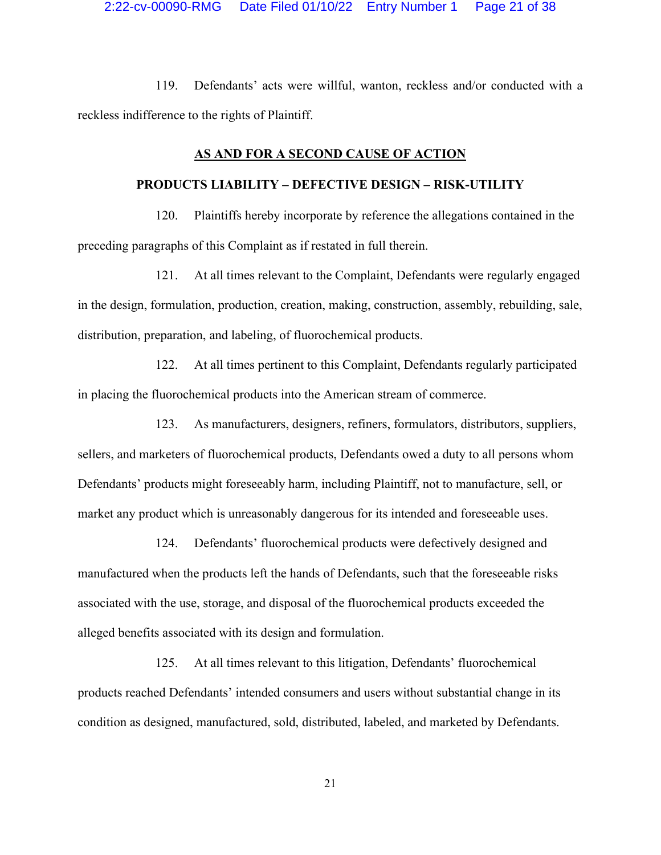119. Defendants' acts were willful, wanton, reckless and/or conducted with a reckless indifference to the rights of Plaintiff.

## **AS AND FOR A SECOND CAUSE OF ACTION**

## **PRODUCTS LIABILITY – DEFECTIVE DESIGN – RISK-UTILITY**

120. Plaintiffs hereby incorporate by reference the allegations contained in the preceding paragraphs of this Complaint as if restated in full therein.

121. At all times relevant to the Complaint, Defendants were regularly engaged in the design, formulation, production, creation, making, construction, assembly, rebuilding, sale, distribution, preparation, and labeling, of fluorochemical products.

122. At all times pertinent to this Complaint, Defendants regularly participated in placing the fluorochemical products into the American stream of commerce.

123. As manufacturers, designers, refiners, formulators, distributors, suppliers, sellers, and marketers of fluorochemical products, Defendants owed a duty to all persons whom Defendants' products might foreseeably harm, including Plaintiff, not to manufacture, sell, or market any product which is unreasonably dangerous for its intended and foreseeable uses.

124. Defendants' fluorochemical products were defectively designed and manufactured when the products left the hands of Defendants, such that the foreseeable risks associated with the use, storage, and disposal of the fluorochemical products exceeded the alleged benefits associated with its design and formulation.

125. At all times relevant to this litigation, Defendants' fluorochemical products reached Defendants' intended consumers and users without substantial change in its condition as designed, manufactured, sold, distributed, labeled, and marketed by Defendants.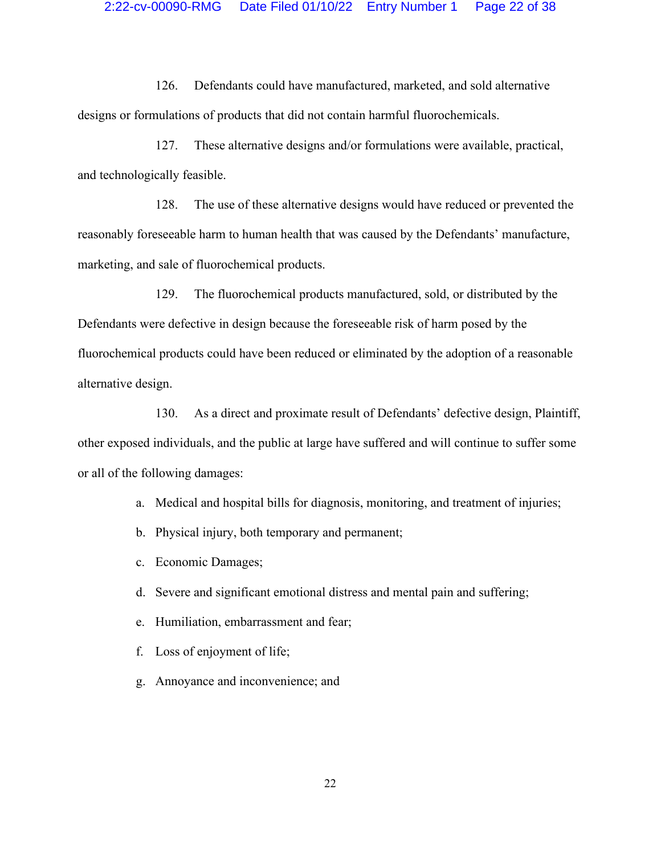### 2:22-cv-00090-RMG Date Filed 01/10/22 Entry Number 1 Page 22 of 38

126. Defendants could have manufactured, marketed, and sold alternative designs or formulations of products that did not contain harmful fluorochemicals.

127. These alternative designs and/or formulations were available, practical, and technologically feasible.

128. The use of these alternative designs would have reduced or prevented the reasonably foreseeable harm to human health that was caused by the Defendants' manufacture, marketing, and sale of fluorochemical products.

129. The fluorochemical products manufactured, sold, or distributed by the Defendants were defective in design because the foreseeable risk of harm posed by the fluorochemical products could have been reduced or eliminated by the adoption of a reasonable alternative design.

130. As a direct and proximate result of Defendants' defective design, Plaintiff, other exposed individuals, and the public at large have suffered and will continue to suffer some or all of the following damages:

a. Medical and hospital bills for diagnosis, monitoring, and treatment of injuries;

- b. Physical injury, both temporary and permanent;
- c. Economic Damages;
- d. Severe and significant emotional distress and mental pain and suffering;
- e. Humiliation, embarrassment and fear;
- f. Loss of enjoyment of life;
- g. Annoyance and inconvenience; and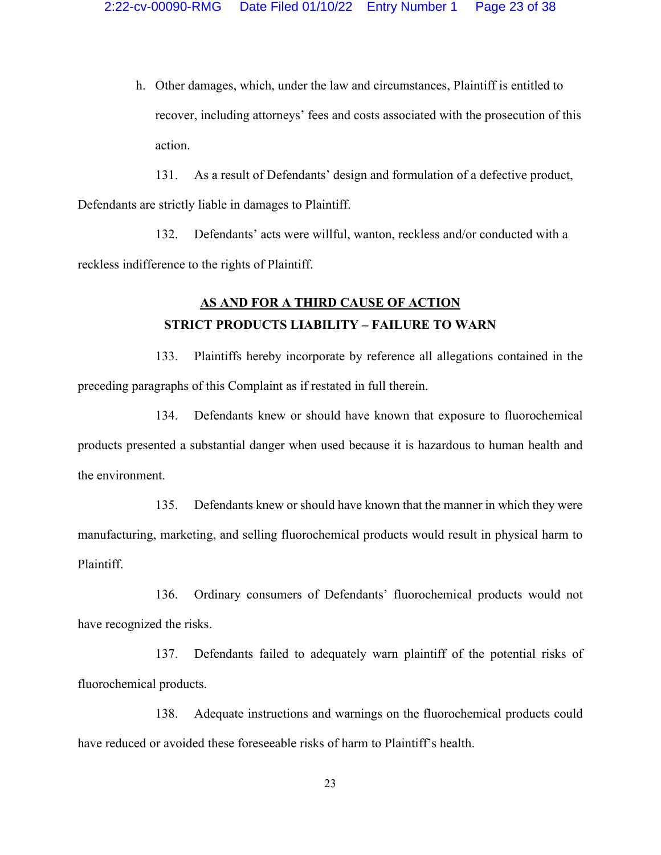h. Other damages, which, under the law and circumstances, Plaintiff is entitled to recover, including attorneys' fees and costs associated with the prosecution of this action.

131. As a result of Defendants' design and formulation of a defective product, Defendants are strictly liable in damages to Plaintiff.

132. Defendants' acts were willful, wanton, reckless and/or conducted with a reckless indifference to the rights of Plaintiff.

# **AS AND FOR A THIRD CAUSE OF ACTION STRICT PRODUCTS LIABILITY – FAILURE TO WARN**

133. Plaintiffs hereby incorporate by reference all allegations contained in the preceding paragraphs of this Complaint as if restated in full therein.

134. Defendants knew or should have known that exposure to fluorochemical products presented a substantial danger when used because it is hazardous to human health and the environment.

135. Defendants knew or should have known that the manner in which they were manufacturing, marketing, and selling fluorochemical products would result in physical harm to Plaintiff.

136. Ordinary consumers of Defendants' fluorochemical products would not have recognized the risks.

137. Defendants failed to adequately warn plaintiff of the potential risks of fluorochemical products.

138. Adequate instructions and warnings on the fluorochemical products could have reduced or avoided these foreseeable risks of harm to Plaintiff's health.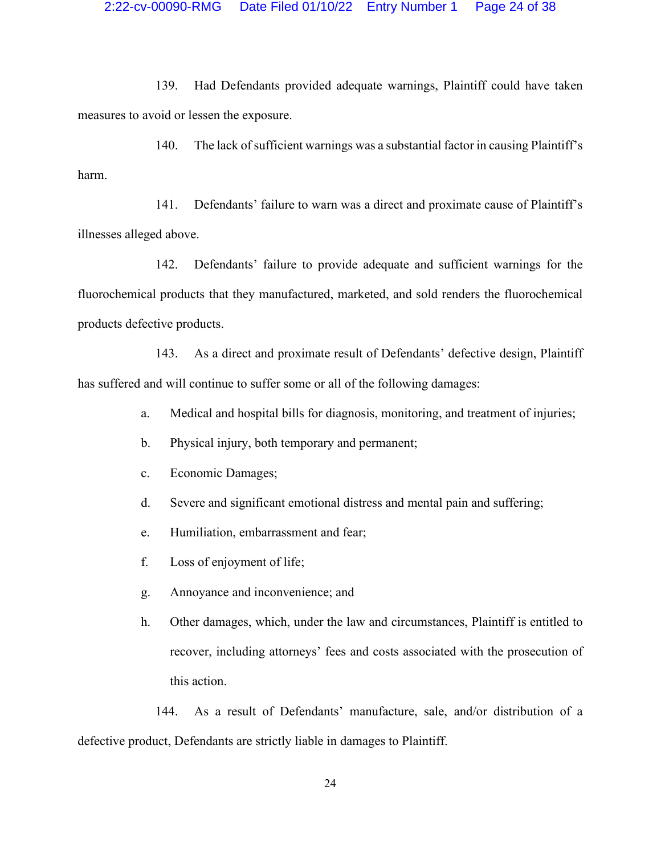139. Had Defendants provided adequate warnings, Plaintiff could have taken measures to avoid or lessen the exposure.

140. The lack of sufficient warnings was a substantial factor in causing Plaintiff's harm.

141. Defendants' failure to warn was a direct and proximate cause of Plaintiff's illnesses alleged above.

142. Defendants' failure to provide adequate and sufficient warnings for the fluorochemical products that they manufactured, marketed, and sold renders the fluorochemical products defective products.

143. As a direct and proximate result of Defendants' defective design, Plaintiff has suffered and will continue to suffer some or all of the following damages:

a. Medical and hospital bills for diagnosis, monitoring, and treatment of injuries;

- b. Physical injury, both temporary and permanent;
- c. Economic Damages;
- d. Severe and significant emotional distress and mental pain and suffering;
- e. Humiliation, embarrassment and fear;
- f. Loss of enjoyment of life;
- g. Annoyance and inconvenience; and
- h. Other damages, which, under the law and circumstances, Plaintiff is entitled to recover, including attorneys' fees and costs associated with the prosecution of this action.

144. As a result of Defendants' manufacture, sale, and/or distribution of a defective product, Defendants are strictly liable in damages to Plaintiff.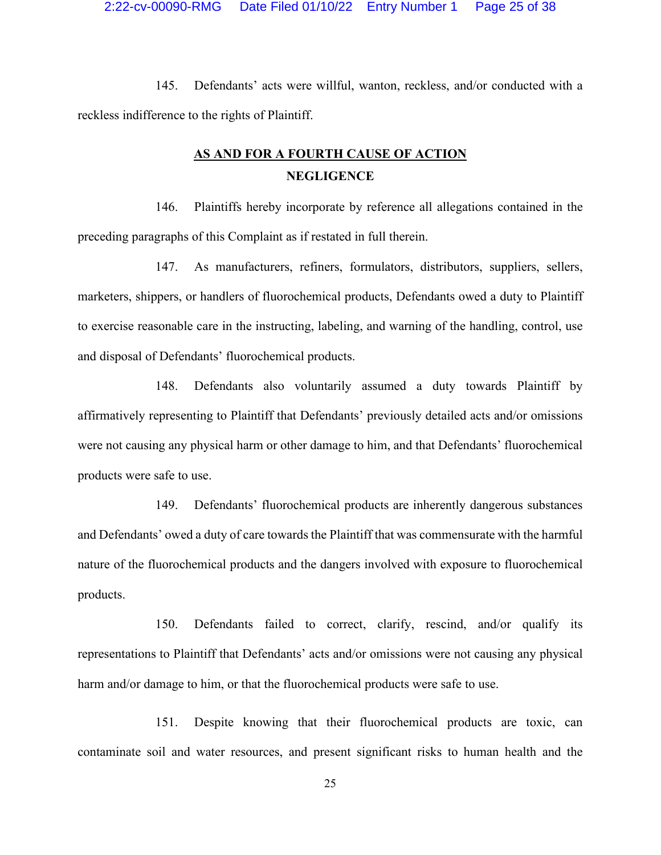145. Defendants' acts were willful, wanton, reckless, and/or conducted with a reckless indifference to the rights of Plaintiff.

## **AS AND FOR A FOURTH CAUSE OF ACTION NEGLIGENCE**

146. Plaintiffs hereby incorporate by reference all allegations contained in the preceding paragraphs of this Complaint as if restated in full therein.

147. As manufacturers, refiners, formulators, distributors, suppliers, sellers, marketers, shippers, or handlers of fluorochemical products, Defendants owed a duty to Plaintiff to exercise reasonable care in the instructing, labeling, and warning of the handling, control, use and disposal of Defendants' fluorochemical products.

148. Defendants also voluntarily assumed a duty towards Plaintiff by affirmatively representing to Plaintiff that Defendants' previously detailed acts and/or omissions were not causing any physical harm or other damage to him, and that Defendants' fluorochemical products were safe to use.

149. Defendants' fluorochemical products are inherently dangerous substances and Defendants' owed a duty of care towards the Plaintiff that was commensurate with the harmful nature of the fluorochemical products and the dangers involved with exposure to fluorochemical products.

150. Defendants failed to correct, clarify, rescind, and/or qualify its representations to Plaintiff that Defendants' acts and/or omissions were not causing any physical harm and/or damage to him, or that the fluorochemical products were safe to use.

151. Despite knowing that their fluorochemical products are toxic, can contaminate soil and water resources, and present significant risks to human health and the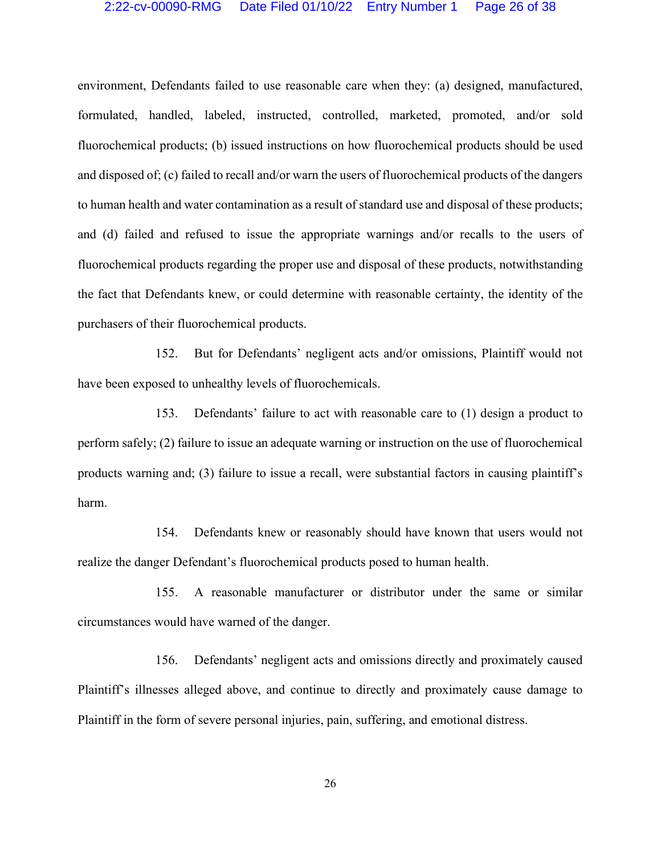#### 2:22-cv-00090-RMG Date Filed 01/10/22 Entry Number 1 Page 26 of 38

environment, Defendants failed to use reasonable care when they: (a) designed, manufactured, formulated, handled, labeled, instructed, controlled, marketed, promoted, and/or sold fluorochemical products; (b) issued instructions on how fluorochemical products should be used and disposed of; (c) failed to recall and/or warn the users of fluorochemical products of the dangers to human health and water contamination as a result of standard use and disposal of these products; and (d) failed and refused to issue the appropriate warnings and/or recalls to the users of fluorochemical products regarding the proper use and disposal of these products, notwithstanding the fact that Defendants knew, or could determine with reasonable certainty, the identity of the purchasers of their fluorochemical products.

152. But for Defendants' negligent acts and/or omissions, Plaintiff would not have been exposed to unhealthy levels of fluorochemicals.

153. Defendants' failure to act with reasonable care to (1) design a product to perform safely; (2) failure to issue an adequate warning or instruction on the use of fluorochemical products warning and; (3) failure to issue a recall, were substantial factors in causing plaintiff's harm.

154. Defendants knew or reasonably should have known that users would not realize the danger Defendant's fluorochemical products posed to human health.

155. A reasonable manufacturer or distributor under the same or similar circumstances would have warned of the danger.

156. Defendants' negligent acts and omissions directly and proximately caused Plaintiff's illnesses alleged above, and continue to directly and proximately cause damage to Plaintiff in the form of severe personal injuries, pain, suffering, and emotional distress.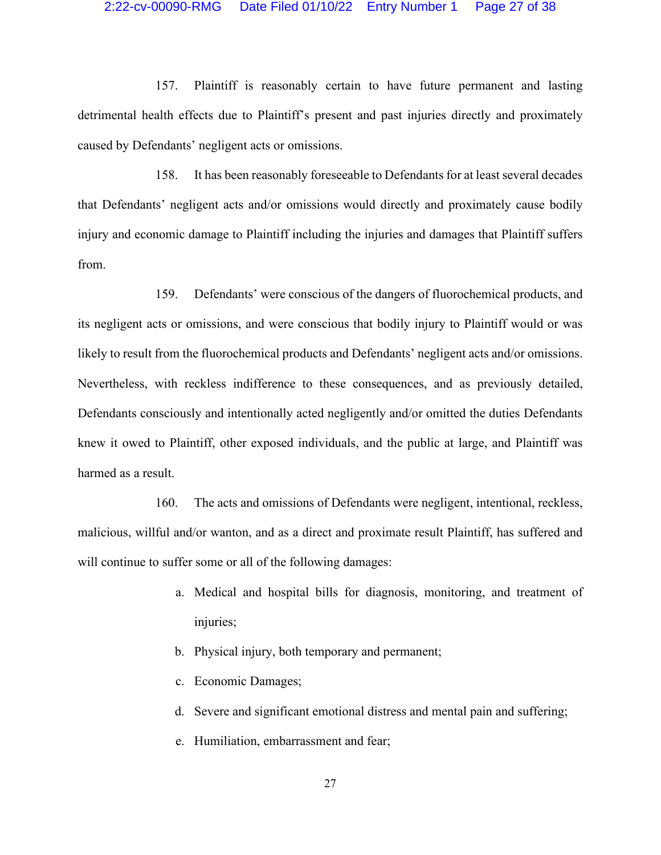#### 2:22-cv-00090-RMG Date Filed 01/10/22 Entry Number 1 Page 27 of 38

157. Plaintiff is reasonably certain to have future permanent and lasting detrimental health effects due to Plaintiff's present and past injuries directly and proximately caused by Defendants' negligent acts or omissions.

158. It has been reasonably foreseeable to Defendants for at least several decades that Defendants' negligent acts and/or omissions would directly and proximately cause bodily injury and economic damage to Plaintiff including the injuries and damages that Plaintiff suffers from.

159. Defendants' were conscious of the dangers of fluorochemical products, and its negligent acts or omissions, and were conscious that bodily injury to Plaintiff would or was likely to result from the fluorochemical products and Defendants' negligent acts and/or omissions. Nevertheless, with reckless indifference to these consequences, and as previously detailed, Defendants consciously and intentionally acted negligently and/or omitted the duties Defendants knew it owed to Plaintiff, other exposed individuals, and the public at large, and Plaintiff was harmed as a result.

160. The acts and omissions of Defendants were negligent, intentional, reckless, malicious, willful and/or wanton, and as a direct and proximate result Plaintiff, has suffered and will continue to suffer some or all of the following damages:

- a. Medical and hospital bills for diagnosis, monitoring, and treatment of injuries;
- b. Physical injury, both temporary and permanent;
- c. Economic Damages;
- d. Severe and significant emotional distress and mental pain and suffering;
- e. Humiliation, embarrassment and fear;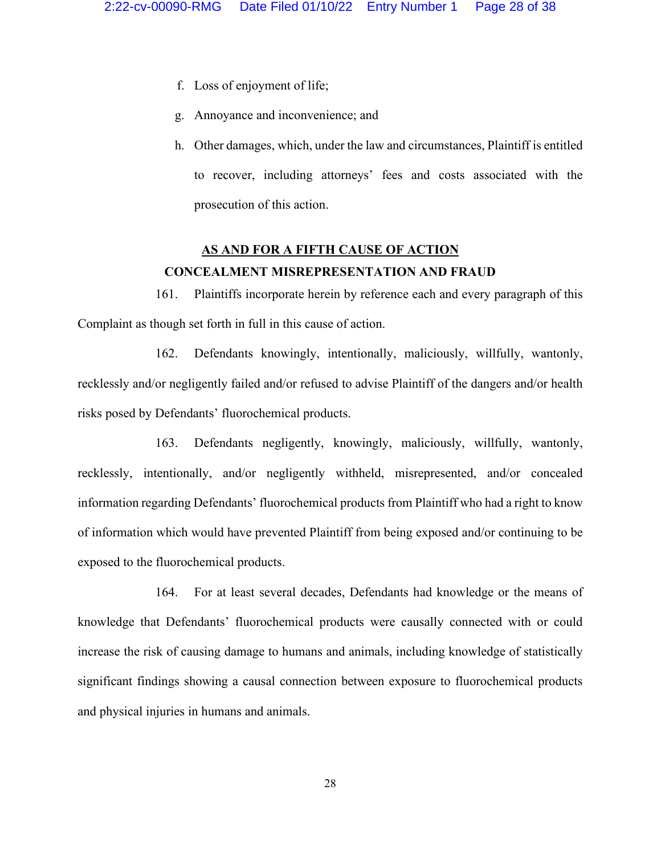- f. Loss of enjoyment of life;
- g. Annoyance and inconvenience; and
- h. Other damages, which, under the law and circumstances, Plaintiff is entitled to recover, including attorneys' fees and costs associated with the prosecution of this action.

# **AS AND FOR A FIFTH CAUSE OF ACTION CONCEALMENT MISREPRESENTATION AND FRAUD**

161. Plaintiffs incorporate herein by reference each and every paragraph of this Complaint as though set forth in full in this cause of action.

162. Defendants knowingly, intentionally, maliciously, willfully, wantonly, recklessly and/or negligently failed and/or refused to advise Plaintiff of the dangers and/or health risks posed by Defendants' fluorochemical products.

163. Defendants negligently, knowingly, maliciously, willfully, wantonly, recklessly, intentionally, and/or negligently withheld, misrepresented, and/or concealed information regarding Defendants' fluorochemical products from Plaintiff who had a right to know of information which would have prevented Plaintiff from being exposed and/or continuing to be exposed to the fluorochemical products.

164. For at least several decades, Defendants had knowledge or the means of knowledge that Defendants' fluorochemical products were causally connected with or could increase the risk of causing damage to humans and animals, including knowledge of statistically significant findings showing a causal connection between exposure to fluorochemical products and physical injuries in humans and animals.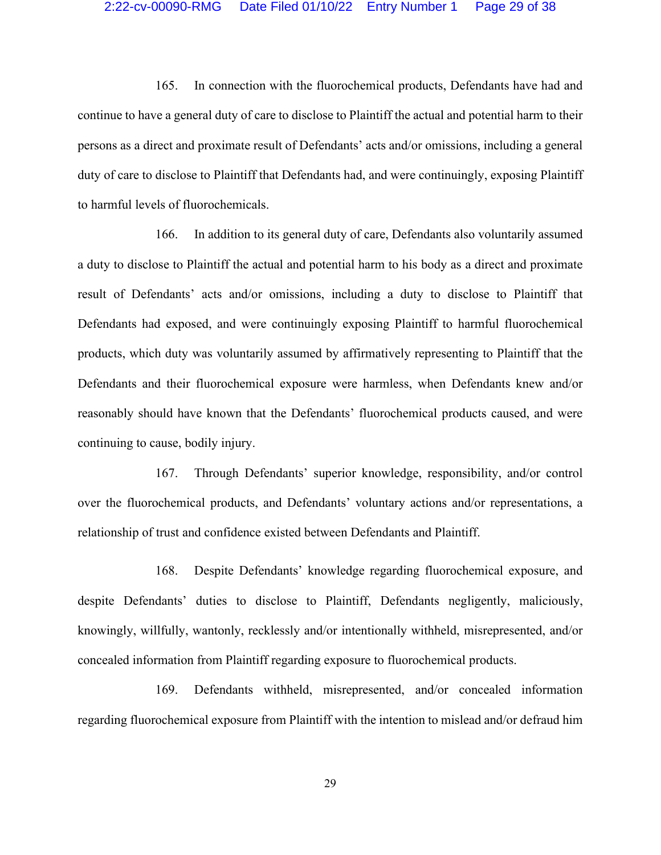### 2:22-cv-00090-RMG Date Filed 01/10/22 Entry Number 1 Page 29 of 38

165. In connection with the fluorochemical products, Defendants have had and continue to have a general duty of care to disclose to Plaintiff the actual and potential harm to their persons as a direct and proximate result of Defendants' acts and/or omissions, including a general duty of care to disclose to Plaintiff that Defendants had, and were continuingly, exposing Plaintiff to harmful levels of fluorochemicals.

166. In addition to its general duty of care, Defendants also voluntarily assumed a duty to disclose to Plaintiff the actual and potential harm to his body as a direct and proximate result of Defendants' acts and/or omissions, including a duty to disclose to Plaintiff that Defendants had exposed, and were continuingly exposing Plaintiff to harmful fluorochemical products, which duty was voluntarily assumed by affirmatively representing to Plaintiff that the Defendants and their fluorochemical exposure were harmless, when Defendants knew and/or reasonably should have known that the Defendants' fluorochemical products caused, and were continuing to cause, bodily injury.

167. Through Defendants' superior knowledge, responsibility, and/or control over the fluorochemical products, and Defendants' voluntary actions and/or representations, a relationship of trust and confidence existed between Defendants and Plaintiff.

168. Despite Defendants' knowledge regarding fluorochemical exposure, and despite Defendants' duties to disclose to Plaintiff, Defendants negligently, maliciously, knowingly, willfully, wantonly, recklessly and/or intentionally withheld, misrepresented, and/or concealed information from Plaintiff regarding exposure to fluorochemical products.

169. Defendants withheld, misrepresented, and/or concealed information regarding fluorochemical exposure from Plaintiff with the intention to mislead and/or defraud him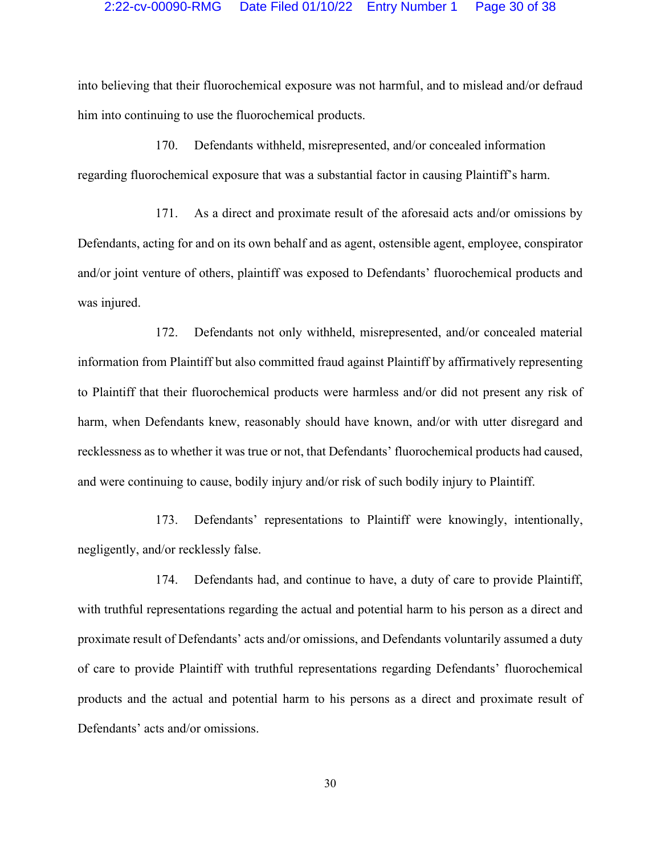into believing that their fluorochemical exposure was not harmful, and to mislead and/or defraud him into continuing to use the fluorochemical products.

170. Defendants withheld, misrepresented, and/or concealed information regarding fluorochemical exposure that was a substantial factor in causing Plaintiff's harm.

171. As a direct and proximate result of the aforesaid acts and/or omissions by Defendants, acting for and on its own behalf and as agent, ostensible agent, employee, conspirator and/or joint venture of others, plaintiff was exposed to Defendants' fluorochemical products and was injured.

172. Defendants not only withheld, misrepresented, and/or concealed material information from Plaintiff but also committed fraud against Plaintiff by affirmatively representing to Plaintiff that their fluorochemical products were harmless and/or did not present any risk of harm, when Defendants knew, reasonably should have known, and/or with utter disregard and recklessness as to whether it was true or not, that Defendants' fluorochemical products had caused, and were continuing to cause, bodily injury and/or risk of such bodily injury to Plaintiff.

173. Defendants' representations to Plaintiff were knowingly, intentionally, negligently, and/or recklessly false.

174. Defendants had, and continue to have, a duty of care to provide Plaintiff, with truthful representations regarding the actual and potential harm to his person as a direct and proximate result of Defendants' acts and/or omissions, and Defendants voluntarily assumed a duty of care to provide Plaintiff with truthful representations regarding Defendants' fluorochemical products and the actual and potential harm to his persons as a direct and proximate result of Defendants' acts and/or omissions.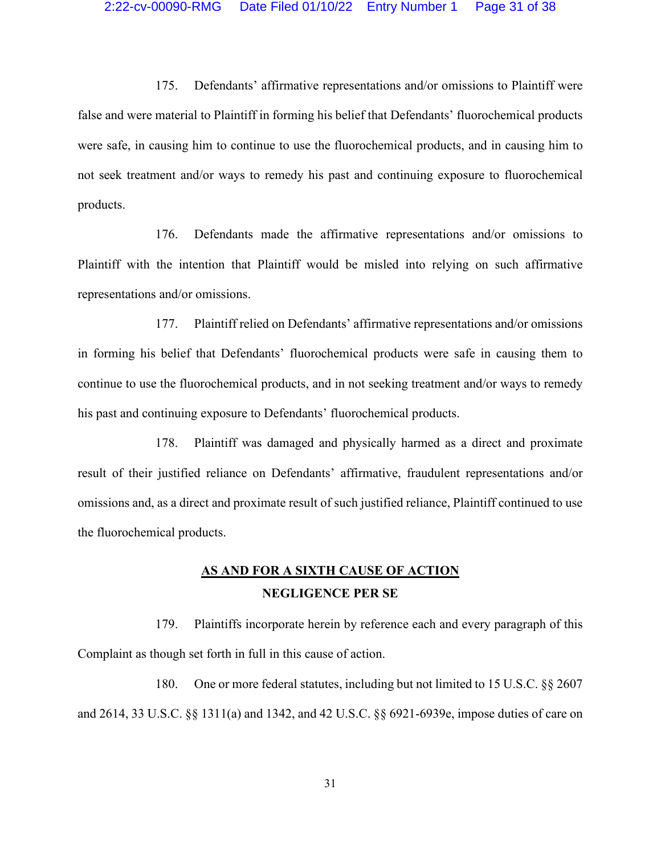175. Defendants' affirmative representations and/or omissions to Plaintiff were false and were material to Plaintiff in forming his belief that Defendants' fluorochemical products were safe, in causing him to continue to use the fluorochemical products, and in causing him to not seek treatment and/or ways to remedy his past and continuing exposure to fluorochemical products.

176. Defendants made the affirmative representations and/or omissions to Plaintiff with the intention that Plaintiff would be misled into relying on such affirmative representations and/or omissions.

177. Plaintiff relied on Defendants' affirmative representations and/or omissions in forming his belief that Defendants' fluorochemical products were safe in causing them to continue to use the fluorochemical products, and in not seeking treatment and/or ways to remedy his past and continuing exposure to Defendants' fluorochemical products.

178. Plaintiff was damaged and physically harmed as a direct and proximate result of their justified reliance on Defendants' affirmative, fraudulent representations and/or omissions and, as a direct and proximate result of such justified reliance, Plaintiff continued to use the fluorochemical products.

# **AS AND FOR A SIXTH CAUSE OF ACTION NEGLIGENCE PER SE**

179. Plaintiffs incorporate herein by reference each and every paragraph of this Complaint as though set forth in full in this cause of action.

180. One or more federal statutes, including but not limited to 15 U.S.C. §§ 2607 and 2614, 33 U.S.C. §§ 1311(a) and 1342, and 42 U.S.C. §§ 6921-6939e, impose duties of care on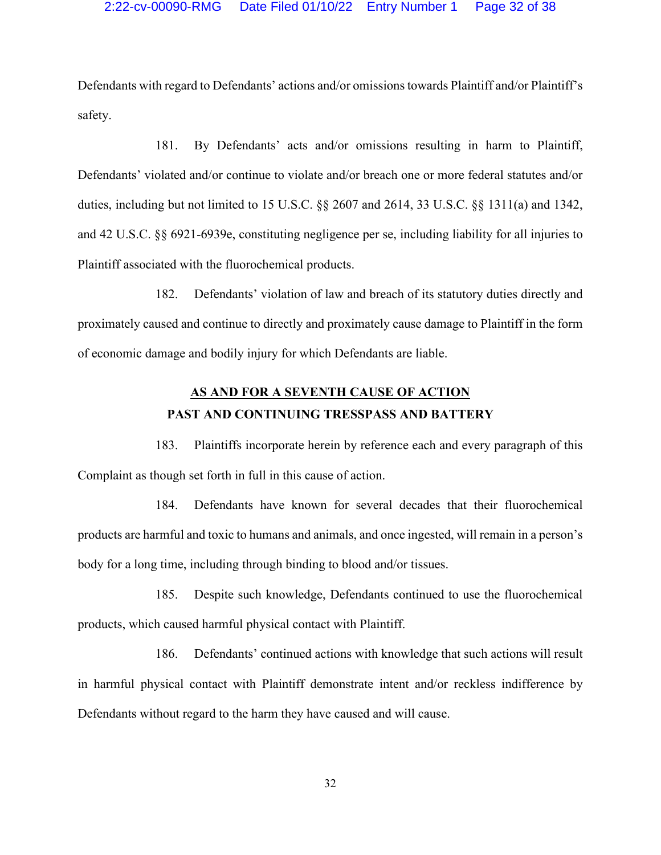Defendants with regard to Defendants' actions and/or omissions towards Plaintiff and/or Plaintiff's safety.

181. By Defendants' acts and/or omissions resulting in harm to Plaintiff, Defendants' violated and/or continue to violate and/or breach one or more federal statutes and/or duties, including but not limited to 15 U.S.C. §§ 2607 and 2614, 33 U.S.C. §§ 1311(a) and 1342, and 42 U.S.C. §§ 6921-6939e, constituting negligence per se, including liability for all injuries to Plaintiff associated with the fluorochemical products.

182. Defendants' violation of law and breach of its statutory duties directly and proximately caused and continue to directly and proximately cause damage to Plaintiff in the form of economic damage and bodily injury for which Defendants are liable.

# **AS AND FOR A SEVENTH CAUSE OF ACTION PAST AND CONTINUING TRESSPASS AND BATTERY**

183. Plaintiffs incorporate herein by reference each and every paragraph of this Complaint as though set forth in full in this cause of action.

184. Defendants have known for several decades that their fluorochemical products are harmful and toxic to humans and animals, and once ingested, will remain in a person's body for a long time, including through binding to blood and/or tissues.

185. Despite such knowledge, Defendants continued to use the fluorochemical products, which caused harmful physical contact with Plaintiff.

186. Defendants' continued actions with knowledge that such actions will result in harmful physical contact with Plaintiff demonstrate intent and/or reckless indifference by Defendants without regard to the harm they have caused and will cause.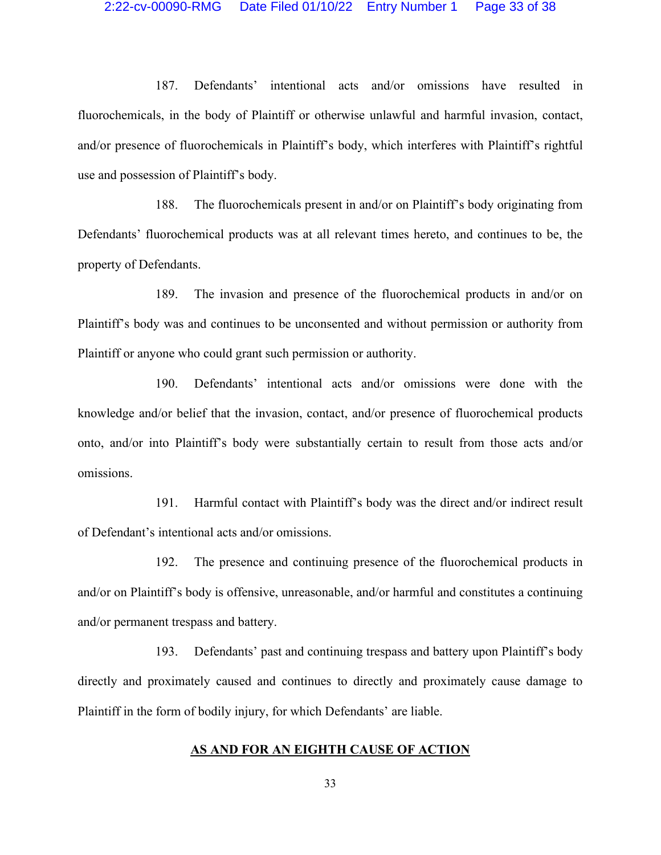#### 2:22-cv-00090-RMG Date Filed 01/10/22 Entry Number 1 Page 33 of 38

187. Defendants' intentional acts and/or omissions have resulted in fluorochemicals, in the body of Plaintiff or otherwise unlawful and harmful invasion, contact, and/or presence of fluorochemicals in Plaintiff's body, which interferes with Plaintiff's rightful use and possession of Plaintiff's body.

188. The fluorochemicals present in and/or on Plaintiff's body originating from Defendants' fluorochemical products was at all relevant times hereto, and continues to be, the property of Defendants.

189. The invasion and presence of the fluorochemical products in and/or on Plaintiff's body was and continues to be unconsented and without permission or authority from Plaintiff or anyone who could grant such permission or authority.

190. Defendants' intentional acts and/or omissions were done with the knowledge and/or belief that the invasion, contact, and/or presence of fluorochemical products onto, and/or into Plaintiff's body were substantially certain to result from those acts and/or omissions.

191. Harmful contact with Plaintiff's body was the direct and/or indirect result of Defendant's intentional acts and/or omissions.

192. The presence and continuing presence of the fluorochemical products in and/or on Plaintiff's body is offensive, unreasonable, and/or harmful and constitutes a continuing and/or permanent trespass and battery.

193. Defendants' past and continuing trespass and battery upon Plaintiff's body directly and proximately caused and continues to directly and proximately cause damage to Plaintiff in the form of bodily injury, for which Defendants' are liable.

## **AS AND FOR AN EIGHTH CAUSE OF ACTION**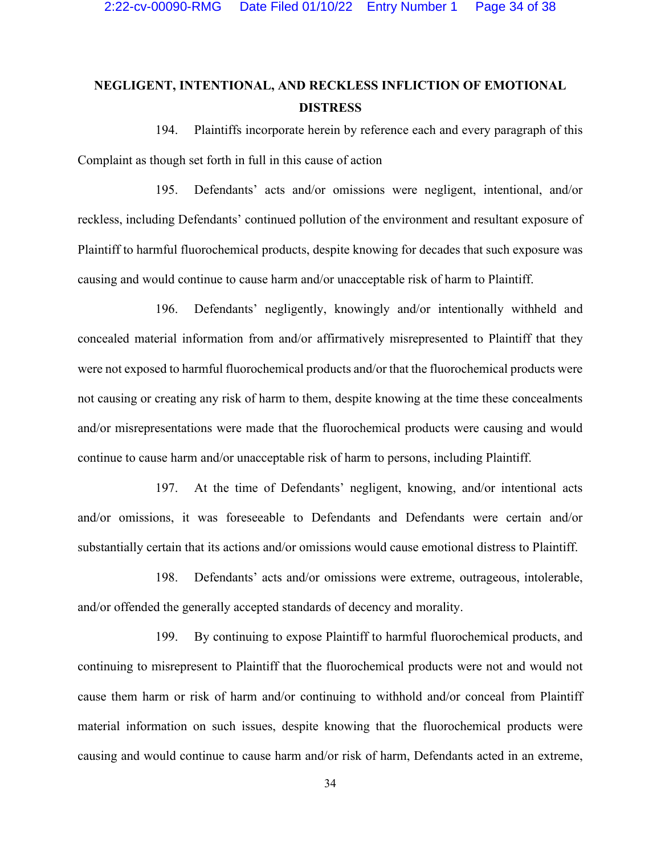# **NEGLIGENT, INTENTIONAL, AND RECKLESS INFLICTION OF EMOTIONAL DISTRESS**

194. Plaintiffs incorporate herein by reference each and every paragraph of this Complaint as though set forth in full in this cause of action

195. Defendants' acts and/or omissions were negligent, intentional, and/or reckless, including Defendants' continued pollution of the environment and resultant exposure of Plaintiff to harmful fluorochemical products, despite knowing for decades that such exposure was causing and would continue to cause harm and/or unacceptable risk of harm to Plaintiff.

196. Defendants' negligently, knowingly and/or intentionally withheld and concealed material information from and/or affirmatively misrepresented to Plaintiff that they were not exposed to harmful fluorochemical products and/or that the fluorochemical products were not causing or creating any risk of harm to them, despite knowing at the time these concealments and/or misrepresentations were made that the fluorochemical products were causing and would continue to cause harm and/or unacceptable risk of harm to persons, including Plaintiff.

197. At the time of Defendants' negligent, knowing, and/or intentional acts and/or omissions, it was foreseeable to Defendants and Defendants were certain and/or substantially certain that its actions and/or omissions would cause emotional distress to Plaintiff.

198. Defendants' acts and/or omissions were extreme, outrageous, intolerable, and/or offended the generally accepted standards of decency and morality.

199. By continuing to expose Plaintiff to harmful fluorochemical products, and continuing to misrepresent to Plaintiff that the fluorochemical products were not and would not cause them harm or risk of harm and/or continuing to withhold and/or conceal from Plaintiff material information on such issues, despite knowing that the fluorochemical products were causing and would continue to cause harm and/or risk of harm, Defendants acted in an extreme,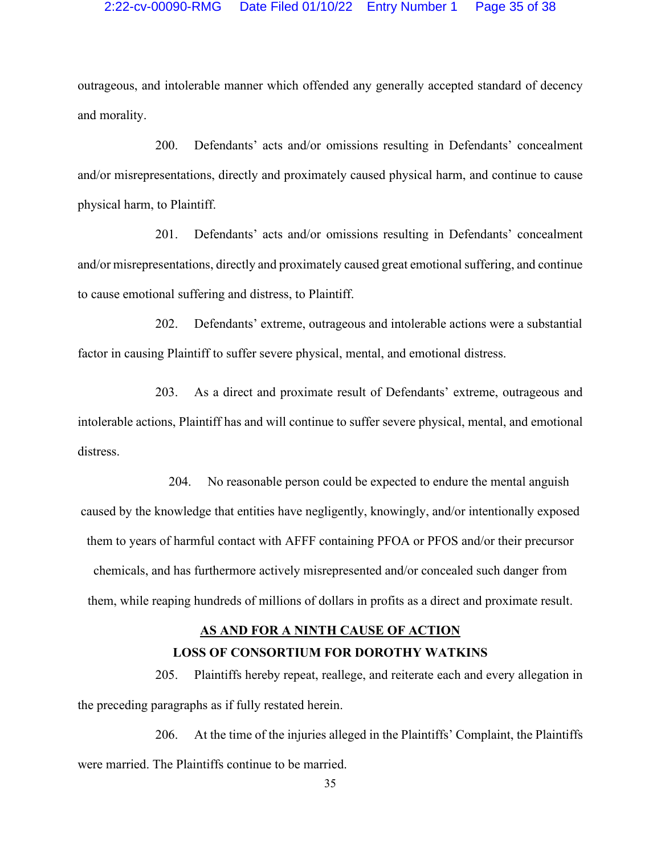#### 2:22-cv-00090-RMG Date Filed 01/10/22 Entry Number 1 Page 35 of 38

outrageous, and intolerable manner which offended any generally accepted standard of decency and morality.

200. Defendants' acts and/or omissions resulting in Defendants' concealment and/or misrepresentations, directly and proximately caused physical harm, and continue to cause physical harm, to Plaintiff.

201. Defendants' acts and/or omissions resulting in Defendants' concealment and/or misrepresentations, directly and proximately caused great emotional suffering, and continue to cause emotional suffering and distress, to Plaintiff.

202. Defendants' extreme, outrageous and intolerable actions were a substantial factor in causing Plaintiff to suffer severe physical, mental, and emotional distress.

203. As a direct and proximate result of Defendants' extreme, outrageous and intolerable actions, Plaintiff has and will continue to suffer severe physical, mental, and emotional distress.

204. No reasonable person could be expected to endure the mental anguish caused by the knowledge that entities have negligently, knowingly, and/or intentionally exposed them to years of harmful contact with AFFF containing PFOA or PFOS and/or their precursor chemicals, and has furthermore actively misrepresented and/or concealed such danger from them, while reaping hundreds of millions of dollars in profits as a direct and proximate result.

# **AS AND FOR A NINTH CAUSE OF ACTION LOSS OF CONSORTIUM FOR DOROTHY WATKINS**

205. Plaintiffs hereby repeat, reallege, and reiterate each and every allegation in the preceding paragraphs as if fully restated herein.

206. At the time of the injuries alleged in the Plaintiffs' Complaint, the Plaintiffs were married. The Plaintiffs continue to be married.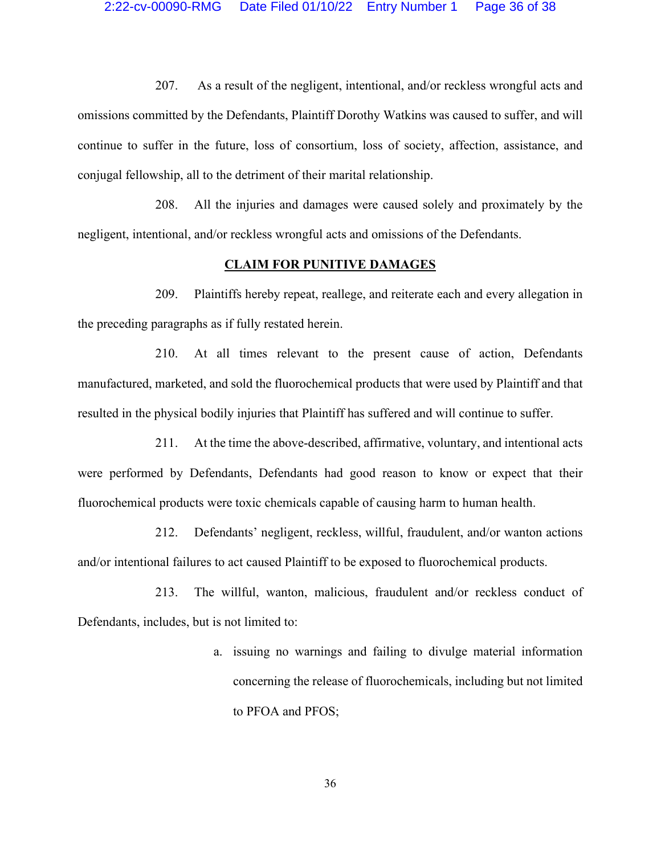207. As a result of the negligent, intentional, and/or reckless wrongful acts and omissions committed by the Defendants, Plaintiff Dorothy Watkins was caused to suffer, and will continue to suffer in the future, loss of consortium, loss of society, affection, assistance, and conjugal fellowship, all to the detriment of their marital relationship.

208. All the injuries and damages were caused solely and proximately by the negligent, intentional, and/or reckless wrongful acts and omissions of the Defendants.

### **CLAIM FOR PUNITIVE DAMAGES**

209. Plaintiffs hereby repeat, reallege, and reiterate each and every allegation in the preceding paragraphs as if fully restated herein.

210. At all times relevant to the present cause of action, Defendants manufactured, marketed, and sold the fluorochemical products that were used by Plaintiff and that resulted in the physical bodily injuries that Plaintiff has suffered and will continue to suffer.

211. At the time the above-described, affirmative, voluntary, and intentional acts were performed by Defendants, Defendants had good reason to know or expect that their fluorochemical products were toxic chemicals capable of causing harm to human health.

212. Defendants' negligent, reckless, willful, fraudulent, and/or wanton actions and/or intentional failures to act caused Plaintiff to be exposed to fluorochemical products.

213. The willful, wanton, malicious, fraudulent and/or reckless conduct of Defendants, includes, but is not limited to:

> a. issuing no warnings and failing to divulge material information concerning the release of fluorochemicals, including but not limited to PFOA and PFOS;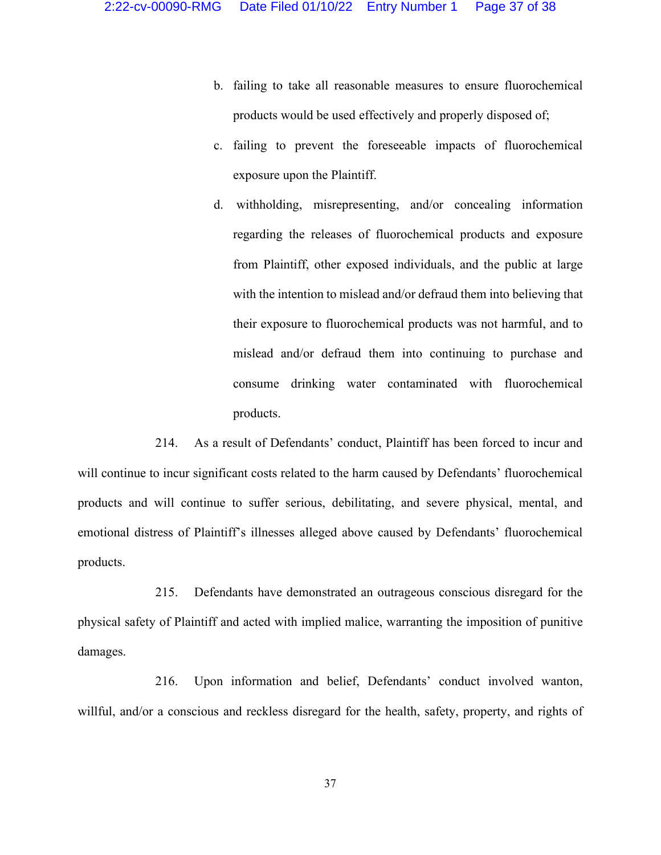- b. failing to take all reasonable measures to ensure fluorochemical products would be used effectively and properly disposed of;
- c. failing to prevent the foreseeable impacts of fluorochemical exposure upon the Plaintiff.
- d. withholding, misrepresenting, and/or concealing information regarding the releases of fluorochemical products and exposure from Plaintiff, other exposed individuals, and the public at large with the intention to mislead and/or defraud them into believing that their exposure to fluorochemical products was not harmful, and to mislead and/or defraud them into continuing to purchase and consume drinking water contaminated with fluorochemical products.

214. As a result of Defendants' conduct, Plaintiff has been forced to incur and will continue to incur significant costs related to the harm caused by Defendants' fluorochemical products and will continue to suffer serious, debilitating, and severe physical, mental, and emotional distress of Plaintiff's illnesses alleged above caused by Defendants' fluorochemical products.

215. Defendants have demonstrated an outrageous conscious disregard for the physical safety of Plaintiff and acted with implied malice, warranting the imposition of punitive damages.

216. Upon information and belief, Defendants' conduct involved wanton, willful, and/or a conscious and reckless disregard for the health, safety, property, and rights of